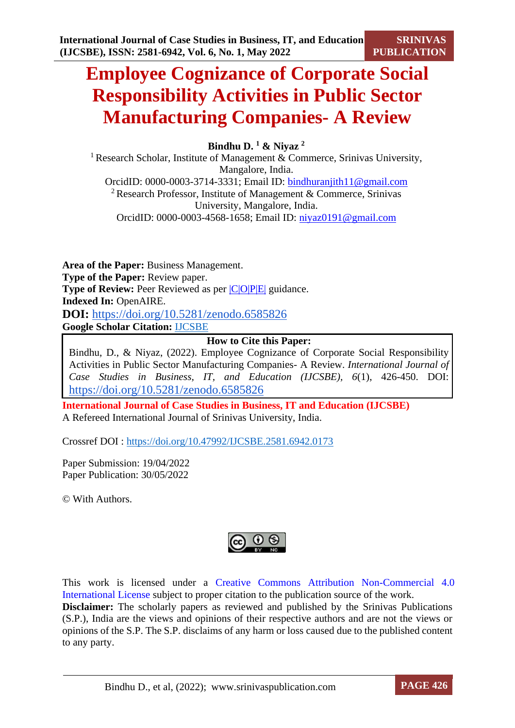**SRINIVAS PUBLICATION**

# **Employee Cognizance of Corporate Social Responsibility Activities in Public Sector Manufacturing Companies- A Review**

**Bindhu D. <sup>1</sup> & Niyaz <sup>2</sup>**

<sup>1</sup> Research Scholar, Institute of Management  $\&$  Commerce, Srinivas University, Mangalore, India. OrcidID: 0000-0003-3714-3331; Email ID: [bindhuranjith11@gmail.com](mailto:bindhuranjith11@gmail.com) <sup>2</sup> Research Professor, Institute of Management & Commerce, Srinivas University, Mangalore, India. OrcidID: 0000-0003-4568-1658; Email ID: [niyaz0191@gmail.com](mailto:niyaz0191@gmail.com)

**Area of the Paper:** Business Management. **Type of the Paper:** Review paper. **Type of Review:** Peer Reviewed as per  $|C|O||P|E|$  guidance. **Indexed In:** OpenAIRE. **DOI:** <https://doi.org/10.5281/zenodo.6585826> **Google Scholar Citation:** [IJCSBE](https://scholar.google.com/citations?user=yGYPA1MAAAAJ)

# **How to Cite this Paper:**

Bindhu, D., & Niyaz, (2022). Employee Cognizance of Corporate Social Responsibility Activities in Public Sector Manufacturing Companies- A Review. *International Journal of Case Studies in Business, IT, and Education (IJCSBE), 6*(1), 426-450. DOI: <https://doi.org/10.5281/zenodo.6585826>

**International Journal of Case Studies in Business, IT and Education (IJCSBE)** A Refereed International Journal of Srinivas University, India.

Crossref DOI : [https://doi.org/10.47992/IJCSBE.2581.6942.0173](https://search.crossref.org/?q=10.47992%2FIJCSBE.2581.6942.0173&from_ui=yes)

Paper Submission: 19/04/2022 Paper Publication: 30/05/2022

© With Authors.

This work is licensed under a Creative Commons Attribution Non-Commercial 4.0 International License subject to proper citation to the publication source of the work. **Disclaimer:** The scholarly papers as reviewed and published by the Srinivas Publications (S.P.), India are the views and opinions of their respective authors and are not the views or opinions of the S.P. The S.P. disclaims of any harm or loss caused due to the published content to any party.

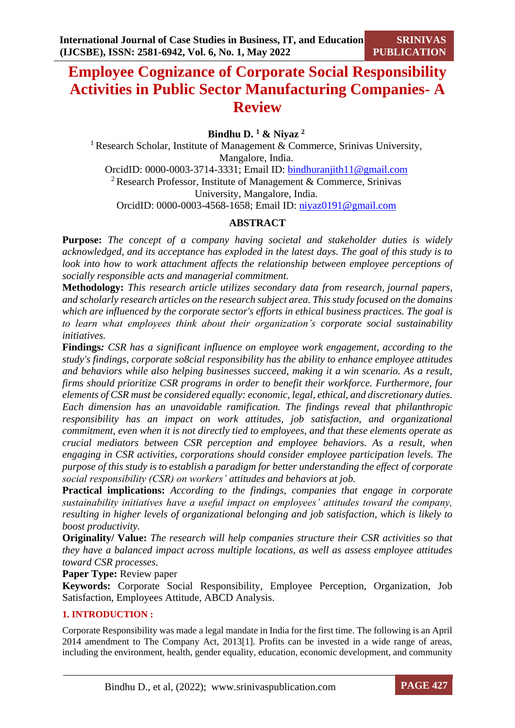# **Employee Cognizance of Corporate Social Responsibility Activities in Public Sector Manufacturing Companies- A Review**

# **Bindhu D. <sup>1</sup> & Niyaz <sup>2</sup>**

<sup>1</sup> Research Scholar, Institute of Management  $\&$  Commerce, Srinivas University, Mangalore, India. OrcidID: 0000-0003-3714-3331; Email ID: [bindhuranjith11@gmail.com](mailto:bindhuranjith11@gmail.com) <sup>2</sup> Research Professor, Institute of Management & Commerce, Srinivas University, Mangalore, India. OrcidID: 0000-0003-4568-1658; Email ID: [niyaz0191@gmail.com](mailto:niyaz0191@gmail.com)

# **ABSTRACT**

**Purpose:** *The concept of a company having societal and stakeholder duties is widely acknowledged, and its acceptance has exploded in the latest days. The goal of this study is to look into how to work attachment affects the relationship between employee perceptions of socially responsible acts and managerial commitment.*

**Methodology:** *This research article utilizes secondary data from research, journal papers, and scholarly research articles on the research subject area. This study focused on the domains which are influenced by the corporate sector's efforts in ethical business practices. The goal is to learn what employees think about their organization's corporate social sustainability initiatives.*

**Findings***: CSR has a significant influence on employee work engagement, according to the study's findings, corporate so8cial responsibility has the ability to enhance employee attitudes and behaviors while also helping businesses succeed, making it a win scenario. As a result, firms should prioritize CSR programs in order to benefit their workforce. Furthermore, four elements of CSR must be considered equally: economic, legal, ethical, and discretionary duties. Each dimension has an unavoidable ramification. The findings reveal that philanthropic responsibility has an impact on work attitudes, job satisfaction, and organizational commitment, even when it is not directly tied to employees, and that these elements operate as crucial mediators between CSR perception and employee behaviors. As a result, when engaging in CSR activities, corporations should consider employee participation levels. The purpose of this study is to establish a paradigm for better understanding the effect of corporate social responsibility (CSR) on workers' attitudes and behaviors at job.*

**Practical implications:** *According to the findings, companies that engage in corporate sustainability initiatives have a useful impact on employees' attitudes toward the company, resulting in higher levels of organizational belonging and job satisfaction, which is likely to boost productivity.*

**Originality/ Value:** *The research will help companies structure their CSR activities so that they have a balanced impact across multiple locations, as well as assess employee attitudes toward CSR processes.*

# **Paper Type:** Review paper

**Keywords:** Corporate Social Responsibility, Employee Perception, Organization, Job Satisfaction, Employees Attitude, ABCD Analysis.

# **1. INTRODUCTION :**

Corporate Responsibility was made a legal mandate in India for the first time. The following is an April 2014 amendment to The Company Act, 2013[1]. Profits can be invested in a wide range of areas, including the environment, health, gender equality, education, economic development, and community

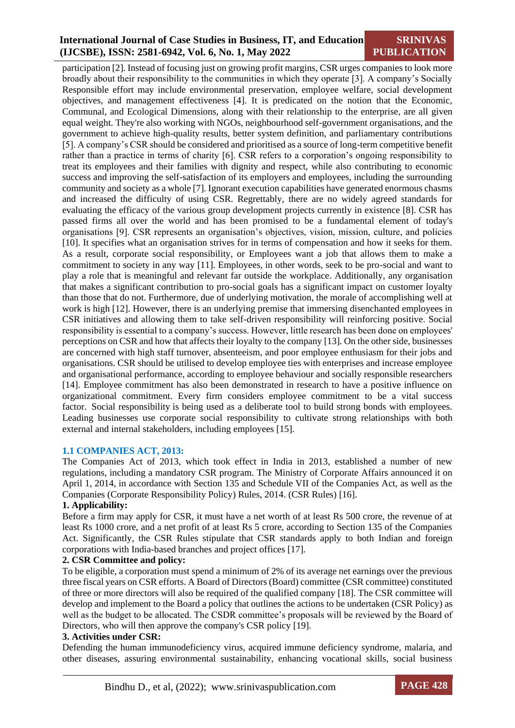**SRINIVAS PUBLICATION**

participation [2]. Instead of focusing just on growing profit margins, CSR urges companies to look more broadly about their responsibility to the communities in which they operate [3]. A company's Socially Responsible effort may include environmental preservation, employee welfare, social development objectives, and management effectiveness [4]. It is predicated on the notion that the Economic, Communal, and Ecological Dimensions, along with their relationship to the enterprise, are all given equal weight. They're also working with NGOs, neighbourhood self-government organisations, and the government to achieve high-quality results, better system definition, and parliamentary contributions [5]. A company's CSR should be considered and prioritised as a source of long-term competitive benefit rather than a practice in terms of charity [6]. CSR refers to a corporation's ongoing responsibility to treat its employees and their families with dignity and respect, while also contributing to economic success and improving the self-satisfaction of its employers and employees, including the surrounding community and society as a whole [7]. Ignorant execution capabilities have generated enormous chasms and increased the difficulty of using CSR. Regrettably, there are no widely agreed standards for evaluating the efficacy of the various group development projects currently in existence [8]. CSR has passed firms all over the world and has been promised to be a fundamental element of today's organisations [9]. CSR represents an organisation's objectives, vision, mission, culture, and policies [10]. It specifies what an organisation strives for in terms of compensation and how it seeks for them. As a result, corporate social responsibility, or Employees want a job that allows them to make a commitment to society in any way [11]. Employees, in other words, seek to be pro-social and want to play a role that is meaningful and relevant far outside the workplace. Additionally, any organisation that makes a significant contribution to pro-social goals has a significant impact on customer loyalty than those that do not. Furthermore, due of underlying motivation, the morale of accomplishing well at work is high [12]. However, there is an underlying premise that immersing disenchanted employees in CSR initiatives and allowing them to take self-driven responsibility will reinforcing positive. Social responsibility is essential to a company's success. However, little research has been done on employees' perceptions on CSR and how that affects their loyalty to the company [13]. On the other side, businesses are concerned with high staff turnover, absenteeism, and poor employee enthusiasm for their jobs and organisations. CSR should be utilised to develop employee ties with enterprises and increase employee and organisational performance, according to employee behaviour and socially responsible researchers [14]. Employee commitment has also been demonstrated in research to have a positive influence on organizational commitment. Every firm considers employee commitment to be a vital success factor. Social responsibility is being used as a deliberate tool to build strong bonds with employees. Leading businesses use corporate social responsibility to cultivate strong relationships with both external and internal stakeholders, including employees [15].

#### **1.1 COMPANIES ACT, 2013:**

The Companies Act of 2013, which took effect in India in 2013, established a number of new regulations, including a mandatory CSR program. The Ministry of Corporate Affairs announced it on April 1, 2014, in accordance with Section 135 and Schedule VII of the Companies Act, as well as the Companies (Corporate Responsibility Policy) Rules, 2014. (CSR Rules) [16].

#### **1. Applicability:**

Before a firm may apply for CSR, it must have a net worth of at least Rs 500 crore, the revenue of at least Rs 1000 crore, and a net profit of at least Rs 5 crore, according to Section 135 of the Companies Act. Significantly, the CSR Rules stipulate that CSR standards apply to both Indian and foreign corporations with India-based branches and project offices [17].

# **2. CSR Committee and policy:**

To be eligible, a corporation must spend a minimum of 2% of its average net earnings over the previous three fiscal years on CSR efforts. A Board of Directors (Board) committee (CSR committee) constituted of three or more directors will also be required of the qualified company [18]. The CSR committee will develop and implement to the Board a policy that outlines the actions to be undertaken (CSR Policy) as well as the budget to be allocated. The CSDR committee's proposals will be reviewed by the Board of Directors, who will then approve the company's CSR policy [19].

#### **3. Activities under CSR:**

Defending the human immunodeficiency virus, acquired immune deficiency syndrome, malaria, and other diseases, assuring environmental sustainability, enhancing vocational skills, social business

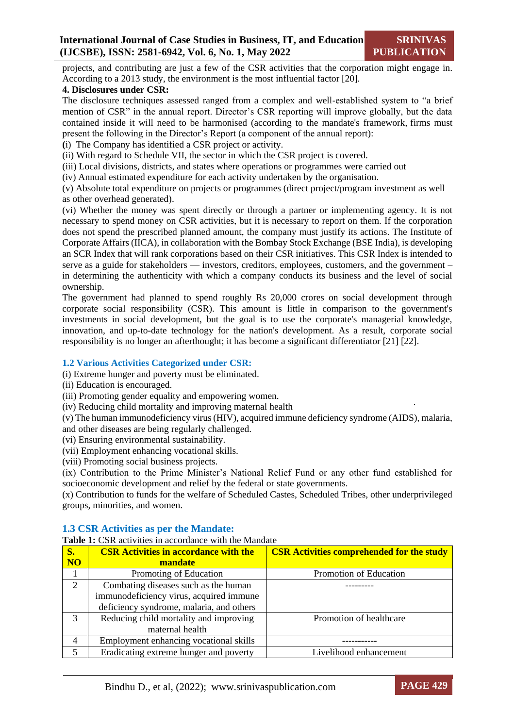**SRINIVAS PUBLICATION**

projects, and contributing are just a few of the CSR activities that the corporation might engage in. According to a 2013 study, the environment is the most influential factor [20].

# **4. Disclosures under CSR:**

The disclosure techniques assessed ranged from a complex and well-established system to "a brief mention of CSR" in the annual report. Director's CSR reporting will improve globally, but the data contained inside it will need to be harmonised (according to the mandate's framework, firms must present the following in the Director's Report (a component of the annual report):

**(**i) The Company has identified a CSR project or activity.

(ii) With regard to Schedule VII, the sector in which the CSR project is covered.

(iii) Local divisions, districts, and states where operations or programmes were carried out

(iv) Annual estimated expenditure for each activity undertaken by the organisation.

(v) Absolute total expenditure on projects or programmes (direct project/program investment as well as other overhead generated).

(vi) Whether the money was spent directly or through a partner or implementing agency. It is not necessary to spend money on CSR activities, but it is necessary to report on them. If the corporation does not spend the prescribed planned amount, the company must justify its actions. The Institute of Corporate Affairs (IICA), in collaboration with the Bombay Stock Exchange (BSE India), is developing an SCR Index that will rank corporations based on their CSR initiatives. This CSR Index is intended to serve as a guide for stakeholders — investors, creditors, employees, customers, and the government – in determining the authenticity with which a company conducts its business and the level of social ownership.

The government had planned to spend roughly Rs 20,000 crores on social development through corporate social responsibility (CSR). This amount is little in comparison to the government's investments in social development, but the goal is to use the corporate's managerial knowledge, innovation, and up-to-date technology for the nation's development. As a result, corporate social responsibility is no longer an afterthought; it has become a significant differentiator [21] [22].

# **1.2 Various Activities Categorized under CSR:**

(i) Extreme hunger and poverty must be eliminated.

(ii) Education is encouraged.

(iii) Promoting gender equality and empowering women.

(iv) Reducing child mortality and improving maternal health

(v) The human immunodeficiency virus (HIV), acquired immune deficiency syndrome (AIDS), malaria, and other diseases are being regularly challenged.

(vi) Ensuring environmental sustainability.

(vii) Employment enhancing vocational skills.

(viii) Promoting social business projects.

(ix) Contribution to the Prime Minister's National Relief Fund or any other fund established for socioeconomic development and relief by the federal or state governments.

(x) Contribution to funds for the welfare of Scheduled Castes, Scheduled Tribes, other underprivileged groups, minorities, and women.

# **1.3 CSR Activities as per the Mandate:**

Table 1: CSR activities in accordance with the Mandate

| $\overline{\mathbf{S}}$ . | <b>CSR Activities in accordance with the</b> | <b>CSR Activities comprehended for the study</b> |
|---------------------------|----------------------------------------------|--------------------------------------------------|
| $\overline{\text{NO}}$    | mandate                                      |                                                  |
|                           | Promoting of Education                       | Promotion of Education                           |
| 2                         | Combating diseases such as the human         |                                                  |
|                           | immunodeficiency virus, acquired immune      |                                                  |
|                           | deficiency syndrome, malaria, and others     |                                                  |
| $\mathcal{R}$             | Reducing child mortality and improving       | Promotion of healthcare                          |
|                           | maternal health                              |                                                  |
|                           | Employment enhancing vocational skills       |                                                  |
| $\overline{\mathcal{L}}$  | Eradicating extreme hunger and poverty       | Livelihood enhancement                           |

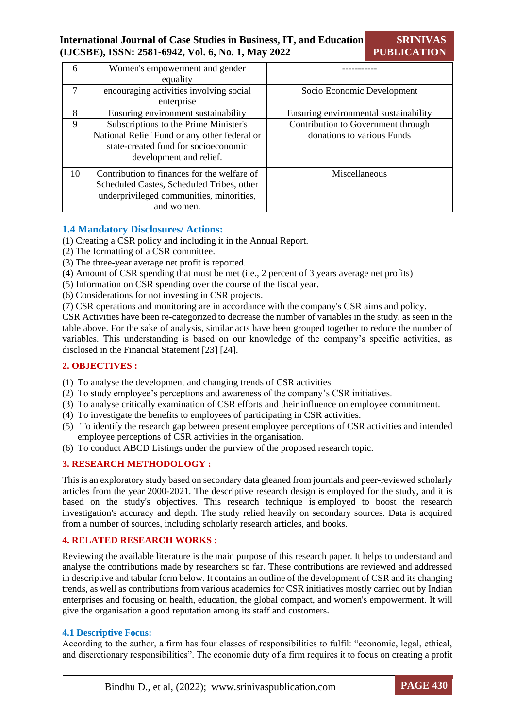| 6      | Women's empowerment and gender               |                                       |  |
|--------|----------------------------------------------|---------------------------------------|--|
|        | equality                                     |                                       |  |
| $\tau$ | encouraging activities involving social      | Socio Economic Development            |  |
|        | enterprise                                   |                                       |  |
| 8      | Ensuring environment sustainability          | Ensuring environmental sustainability |  |
| 9      | Subscriptions to the Prime Minister's        | Contribution to Government through    |  |
|        | National Relief Fund or any other federal or | donations to various Funds            |  |
|        | state-created fund for socioeconomic         |                                       |  |
|        | development and relief.                      |                                       |  |
| 10     | Contribution to finances for the welfare of  | Miscellaneous                         |  |
|        | Scheduled Castes, Scheduled Tribes, other    |                                       |  |
|        | underprivileged communities, minorities,     |                                       |  |
|        | and women.                                   |                                       |  |

# **1.4 Mandatory Disclosures/ Actions:**

- (1) Creating a CSR policy and including it in the Annual Report.
- (2) The formatting of a CSR committee.
- (3) The three-year average net profit is reported.
- (4) Amount of CSR spending that must be met (i.e., 2 percent of 3 years average net profits)
- (5) Information on CSR spending over the course of the fiscal year.
- (6) Considerations for not investing in CSR projects.
- (7) CSR operations and monitoring are in accordance with the company's CSR aims and policy.

CSR Activities have been re-categorized to decrease the number of variables in the study, as seen in the table above. For the sake of analysis, similar acts have been grouped together to reduce the number of variables. This understanding is based on our knowledge of the company's specific activities, as disclosed in the Financial Statement [23] [24].

# **2. OBJECTIVES :**

- (1) To analyse the development and changing trends of CSR activities
- (2) To study employee's perceptions and awareness of the company's CSR initiatives.
- (3) To analyse critically examination of CSR efforts and their influence on employee commitment.
- (4) To investigate the benefits to employees of participating in CSR activities.
- (5) To identify the research gap between present employee perceptions of CSR activities and intended employee perceptions of CSR activities in the organisation.
- (6) To conduct ABCD Listings under the purview of the proposed research topic.

# **3. RESEARCH METHODOLOGY :**

This is an exploratory study based on secondary data gleaned from journals and peer-reviewed scholarly articles from the year 2000-2021. The descriptive research design is employed for the study, and it is based on the study's objectives. This research technique is employed to boost the research investigation's accuracy and depth. The study relied heavily on secondary sources. Data is acquired from a number of sources, including scholarly research articles, and books.

# **4. RELATED RESEARCH WORKS :**

Reviewing the available literature is the main purpose of this research paper. It helps to understand and analyse the contributions made by researchers so far. These contributions are reviewed and addressed in descriptive and tabular form below. It contains an outline of the development of CSR and its changing trends, as well as contributions from various academics for CSR initiatives mostly carried out by Indian enterprises and focusing on health, education, the global compact, and women's empowerment. It will give the organisation a good reputation among its staff and customers.

#### **4.1 Descriptive Focus:**

According to the author, a firm has four classes of responsibilities to fulfil: "economic, legal, ethical, and discretionary responsibilities". The economic duty of a firm requires it to focus on creating a profit

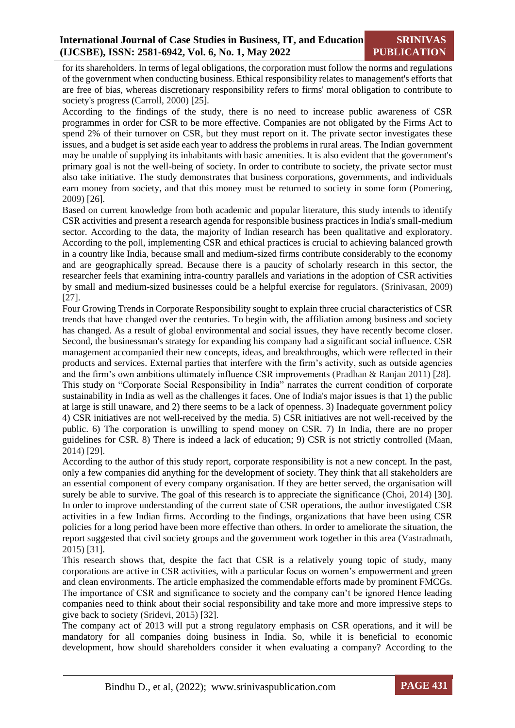for its shareholders. In terms of legal obligations, the corporation must follow the norms and regulations of the government when conducting business. Ethical responsibility relates to management's efforts that are free of bias, whereas discretionary responsibility refers to firms' moral obligation to contribute to society's progress (Carroll, 2000) [25].

According to the findings of the study, there is no need to increase public awareness of CSR programmes in order for CSR to be more effective. Companies are not obligated by the Firms Act to spend 2% of their turnover on CSR, but they must report on it. The private sector investigates these issues, and a budget is set aside each year to address the problems in rural areas. The Indian government may be unable of supplying its inhabitants with basic amenities. It is also evident that the government's primary goal is not the well-being of society. In order to contribute to society, the private sector must also take initiative. The study demonstrates that business corporations, governments, and individuals earn money from society, and that this money must be returned to society in some form (Pomering, 2009) [26].

Based on current knowledge from both academic and popular literature, this study intends to identify CSR activities and present a research agenda for responsible business practices in India's small-medium sector. According to the data, the majority of Indian research has been qualitative and exploratory. According to the poll, implementing CSR and ethical practices is crucial to achieving balanced growth in a country like India, because small and medium-sized firms contribute considerably to the economy and are geographically spread. Because there is a paucity of scholarly research in this sector, the researcher feels that examining intra-country parallels and variations in the adoption of CSR activities by small and medium-sized businesses could be a helpful exercise for regulators. (Srinivasan, 2009) [27].

Four Growing Trends in Corporate Responsibility sought to explain three crucial characteristics of CSR trends that have changed over the centuries. To begin with, the affiliation among business and society has changed. As a result of global environmental and social issues, they have recently become closer. Second, the businessman's strategy for expanding his company had a significant social influence. CSR management accompanied their new concepts, ideas, and breakthroughs, which were reflected in their products and services. External parties that interfere with the firm's activity, such as outside agencies and the firm's own ambitions ultimately influence CSR improvements (Pradhan & Ranjan 2011) [28]. This study on "Corporate Social Responsibility in India" narrates the current condition of corporate sustainability in India as well as the challenges it faces. One of India's major issues is that 1) the public at large is still unaware, and 2) there seems to be a lack of openness. 3) Inadequate government policy 4) CSR initiatives are not well-received by the media. 5) CSR initiatives are not well-received by the public. 6) The corporation is unwilling to spend money on CSR. 7) In India, there are no proper guidelines for CSR. 8) There is indeed a lack of education; 9) CSR is not strictly controlled (Maan, 2014) [29].

According to the author of this study report, corporate responsibility is not a new concept. In the past, only a few companies did anything for the development of society. They think that all stakeholders are an essential component of every company organisation. If they are better served, the organisation will surely be able to survive. The goal of this research is to appreciate the significance (Choi, 2014) [30]. In order to improve understanding of the current state of CSR operations, the author investigated CSR activities in a few Indian firms. According to the findings, organizations that have been using CSR policies for a long period have been more effective than others. In order to ameliorate the situation, the report suggested that civil society groups and the government work together in this area (Vastradmath, 2015) [31].

This research shows that, despite the fact that CSR is a relatively young topic of study, many corporations are active in CSR activities, with a particular focus on women's empowerment and green and clean environments. The article emphasized the commendable efforts made by prominent FMCGs. The importance of CSR and significance to society and the company can't be ignored Hence leading companies need to think about their social responsibility and take more and more impressive steps to give back to society (Sridevi, 2015) [32].

The company act of 2013 will put a strong regulatory emphasis on CSR operations, and it will be mandatory for all companies doing business in India. So, while it is beneficial to economic development, how should shareholders consider it when evaluating a company? According to the

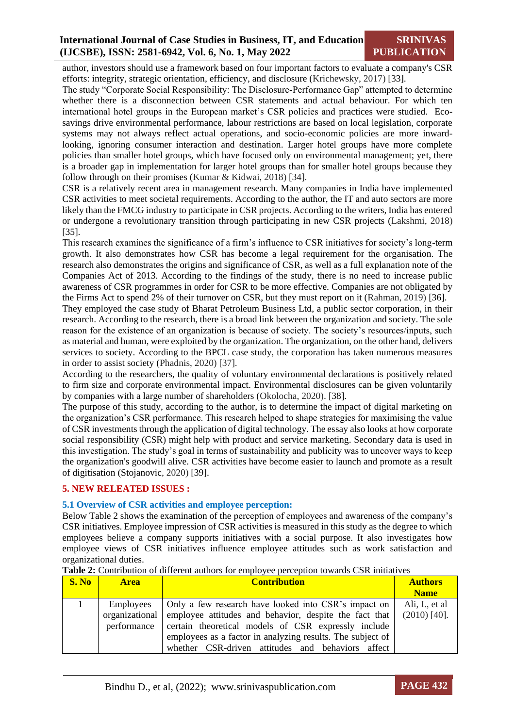author, investors should use a framework based on four important factors to evaluate a company's CSR efforts: integrity, strategic orientation, efficiency, and disclosure (Krichewsky, 2017) [33].

The study "Corporate Social Responsibility: The Disclosure-Performance Gap" attempted to determine whether there is a disconnection between CSR statements and actual behaviour. For which ten international hotel groups in the European market's CSR policies and practices were studied. Ecosavings drive environmental performance, labour restrictions are based on local legislation, corporate systems may not always reflect actual operations, and socio-economic policies are more inwardlooking, ignoring consumer interaction and destination. Larger hotel groups have more complete policies than smaller hotel groups, which have focused only on environmental management; yet, there is a broader gap in implementation for larger hotel groups than for smaller hotel groups because they follow through on their promises (Kumar & Kidwai, 2018) [34].

CSR is a relatively recent area in management research. Many companies in India have implemented CSR activities to meet societal requirements. According to the author, the IT and auto sectors are more likely than the FMCG industry to participate in CSR projects. According to the writers, India has entered or undergone a revolutionary transition through participating in new CSR projects (Lakshmi, 2018) [35].

This research examines the significance of a firm's influence to CSR initiatives for society's long-term growth. It also demonstrates how CSR has become a legal requirement for the organisation. The research also demonstrates the origins and significance of CSR, as well as a full explanation note of the Companies Act of 2013. According to the findings of the study, there is no need to increase public awareness of CSR programmes in order for CSR to be more effective. Companies are not obligated by the Firms Act to spend 2% of their turnover on CSR, but they must report on it (Rahman, 2019) [36].

They employed the case study of Bharat Petroleum Business Ltd, a public sector corporation, in their research. According to the research, there is a broad link between the organization and society. The sole reason for the existence of an organization is because of society. The society's resources/inputs, such as material and human, were exploited by the organization. The organization, on the other hand, delivers services to society. According to the BPCL case study, the corporation has taken numerous measures in order to assist society (Phadnis, 2020) [37].

According to the researchers, the quality of voluntary environmental declarations is positively related to firm size and corporate environmental impact. Environmental disclosures can be given voluntarily by companies with a large number of shareholders (Okolocha, 2020). [38].

The purpose of this study, according to the author, is to determine the impact of digital marketing on the organization's CSR performance. This research helped to shape strategies for maximising the value of CSR investments through the application of digital technology. The essay also looks at how corporate social responsibility (CSR) might help with product and service marketing. Secondary data is used in this investigation. The study's goal in terms of sustainability and publicity was to uncover ways to keep the organization's goodwill alive. CSR activities have become easier to launch and promote as a result of digitisation (Stojanovic, 2020) [39].

# **5. NEW RELEATED ISSUES :**

# **5.1 Overview of CSR activities and employee perception:**

Below Table 2 shows the examination of the perception of employees and awareness of the company's CSR initiatives. Employee impression of CSR activities is measured in this study as the degree to which employees believe a company supports initiatives with a social purpose. It also investigates how employee views of CSR initiatives influence employee attitudes such as work satisfaction and organizational duties.

| <b>S. No</b> | <b>Area</b>                                | <b>Contribution</b>                                                                                                                                                                                                                                                                      | <b>Authors</b><br><b>Name</b>    |
|--------------|--------------------------------------------|------------------------------------------------------------------------------------------------------------------------------------------------------------------------------------------------------------------------------------------------------------------------------------------|----------------------------------|
|              | Employees<br>organizational<br>performance | Only a few research have looked into CSR's impact on<br>employee attitudes and behavior, despite the fact that<br>certain theoretical models of CSR expressly include<br>employees as a factor in analyzing results. The subject of<br>whether CSR-driven attitudes and behaviors affect | Ali, I., et al<br>$(2010)$ [40]. |

**Table 2:** Contribution of different authors for employee perception towards CSR initiatives

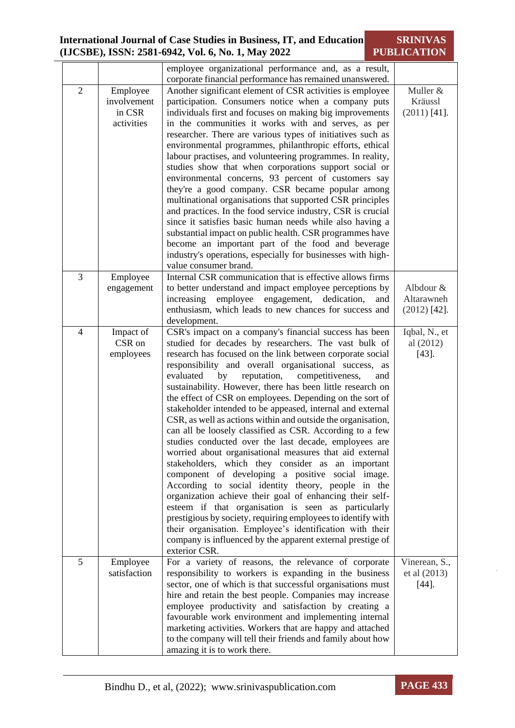|                |              | employee organizational performance and, as a result,<br>corporate financial performance has remained unanswered.    |                |
|----------------|--------------|----------------------------------------------------------------------------------------------------------------------|----------------|
| $\overline{2}$ | Employee     | Another significant element of CSR activities is employee                                                            | Muller &       |
|                | involvement  | participation. Consumers notice when a company puts                                                                  | Kräussl        |
|                | in CSR       | individuals first and focuses on making big improvements                                                             | $(2011)$ [41]. |
|                | activities   | in the communities it works with and serves, as per                                                                  |                |
|                |              | researcher. There are various types of initiatives such as                                                           |                |
|                |              | environmental programmes, philanthropic efforts, ethical                                                             |                |
|                |              | labour practises, and volunteering programmes. In reality,                                                           |                |
|                |              | studies show that when corporations support social or                                                                |                |
|                |              | environmental concerns, 93 percent of customers say                                                                  |                |
|                |              | they're a good company. CSR became popular among                                                                     |                |
|                |              | multinational organisations that supported CSR principles                                                            |                |
|                |              | and practices. In the food service industry, CSR is crucial                                                          |                |
|                |              | since it satisfies basic human needs while also having a                                                             |                |
|                |              | substantial impact on public health. CSR programmes have                                                             |                |
|                |              | become an important part of the food and beverage                                                                    |                |
|                |              | industry's operations, especially for businesses with high-                                                          |                |
| 3              |              | value consumer brand.                                                                                                |                |
|                | Employee     | Internal CSR communication that is effective allows firms<br>to better understand and impact employee perceptions by | Albdour &      |
|                | engagement   | increasing<br>employee engagement,<br>dedication,<br>and                                                             | Altarawneh     |
|                |              | enthusiasm, which leads to new chances for success and                                                               | $(2012)$ [42]. |
|                |              | development.                                                                                                         |                |
| $\overline{4}$ | Impact of    | CSR's impact on a company's financial success has been                                                               | Iqbal, N., et  |
|                | CSR on       | studied for decades by researchers. The vast bulk of                                                                 | al (2012)      |
|                | employees    | research has focused on the link between corporate social                                                            | $[43]$ .       |
|                |              | responsibility and overall organisational success, as                                                                |                |
|                |              | reputation,<br>evaluated<br>by<br>competitiveness,<br>and                                                            |                |
|                |              | sustainability. However, there has been little research on                                                           |                |
|                |              | the effect of CSR on employees. Depending on the sort of                                                             |                |
|                |              | stakeholder intended to be appeased, internal and external                                                           |                |
|                |              | CSR, as well as actions within and outside the organisation,                                                         |                |
|                |              | can all be loosely classified as CSR. According to a few                                                             |                |
|                |              | studies conducted over the last decade, employees are                                                                |                |
|                |              | worried about organisational measures that aid external                                                              |                |
|                |              | stakeholders, which they consider as an important                                                                    |                |
|                |              | component of developing a positive social image.                                                                     |                |
|                |              | According to social identity theory, people in the<br>organization achieve their goal of enhancing their self-       |                |
|                |              | esteem if that organisation is seen as particularly                                                                  |                |
|                |              | prestigious by society, requiring employees to identify with                                                         |                |
|                |              | their organisation. Employee's identification with their                                                             |                |
|                |              | company is influenced by the apparent external prestige of                                                           |                |
|                |              | exterior CSR.                                                                                                        |                |
| 5              | Employee     | For a variety of reasons, the relevance of corporate                                                                 | Vinerean, S.,  |
|                | satisfaction | responsibility to workers is expanding in the business                                                               | et al (2013)   |
|                |              | sector, one of which is that successful organisations must                                                           | $[44]$ .       |
|                |              | hire and retain the best people. Companies may increase                                                              |                |
|                |              | employee productivity and satisfaction by creating a                                                                 |                |
|                |              | favourable work environment and implementing internal                                                                |                |
|                |              | marketing activities. Workers that are happy and attached                                                            |                |
|                |              | to the company will tell their friends and family about how                                                          |                |
|                |              | amazing it is to work there.                                                                                         |                |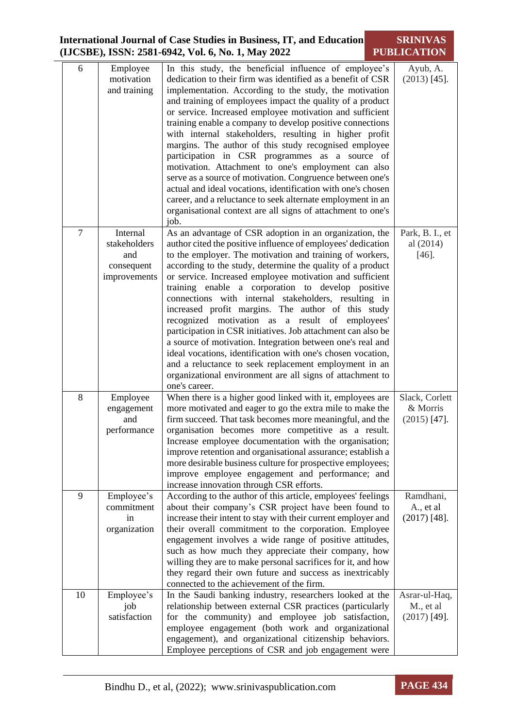| 6              | Employee<br>motivation<br>and training                        | In this study, the beneficial influence of employee's<br>dedication to their firm was identified as a benefit of CSR<br>implementation. According to the study, the motivation<br>and training of employees impact the quality of a product<br>or service. Increased employee motivation and sufficient<br>training enable a company to develop positive connections<br>with internal stakeholders, resulting in higher profit<br>margins. The author of this study recognised employee<br>participation in CSR programmes as a source of<br>motivation. Attachment to one's employment can also<br>serve as a source of motivation. Congruence between one's<br>actual and ideal vocations, identification with one's chosen<br>career, and a reluctance to seek alternate employment in an<br>organisational context are all signs of attachment to one's<br>job.     | Ayub, A.<br>$(2013)$ [45].                   |
|----------------|---------------------------------------------------------------|-------------------------------------------------------------------------------------------------------------------------------------------------------------------------------------------------------------------------------------------------------------------------------------------------------------------------------------------------------------------------------------------------------------------------------------------------------------------------------------------------------------------------------------------------------------------------------------------------------------------------------------------------------------------------------------------------------------------------------------------------------------------------------------------------------------------------------------------------------------------------|----------------------------------------------|
| $\overline{7}$ | Internal<br>stakeholders<br>and<br>consequent<br>improvements | As an advantage of CSR adoption in an organization, the<br>author cited the positive influence of employees' dedication<br>to the employer. The motivation and training of workers,<br>according to the study, determine the quality of a product<br>or service. Increased employee motivation and sufficient<br>training enable a corporation to develop positive<br>connections with internal stakeholders, resulting in<br>increased profit margins. The author of this study<br>recognized motivation as a result of employees'<br>participation in CSR initiatives. Job attachment can also be<br>a source of motivation. Integration between one's real and<br>ideal vocations, identification with one's chosen vocation,<br>and a reluctance to seek replacement employment in an<br>organizational environment are all signs of attachment to<br>one's career. | Park, B. I., et<br>al (2014)<br>$[46]$ .     |
| 8              | Employee<br>engagement<br>and<br>performance                  | When there is a higher good linked with it, employees are<br>more motivated and eager to go the extra mile to make the<br>firm succeed. That task becomes more meaningful, and the<br>organisation becomes more competitive as a result.<br>Increase employee documentation with the organisation;<br>improve retention and organisational assurance; establish a<br>more desirable business culture for prospective employees;<br>improve employee engagement and performance; and<br>increase innovation through CSR efforts.                                                                                                                                                                                                                                                                                                                                         | Slack, Corlett<br>& Morris<br>$(2015)$ [47]. |
| 9              | Employee's<br>commitment<br>in<br>organization                | According to the author of this article, employees' feelings<br>about their company's CSR project have been found to<br>increase their intent to stay with their current employer and<br>their overall commitment to the corporation. Employee<br>engagement involves a wide range of positive attitudes,<br>such as how much they appreciate their company, how<br>willing they are to make personal sacrifices for it, and how<br>they regard their own future and success as inextricably<br>connected to the achievement of the firm.                                                                                                                                                                                                                                                                                                                               | Ramdhani,<br>A., et al<br>$(2017)$ [48].     |
| 10             | Employee's<br>job<br>satisfaction                             | In the Saudi banking industry, researchers looked at the<br>relationship between external CSR practices (particularly<br>for the community) and employee job satisfaction,<br>employee engagement (both work and organizational<br>engagement), and organizational citizenship behaviors.<br>Employee perceptions of CSR and job engagement were                                                                                                                                                                                                                                                                                                                                                                                                                                                                                                                        | Asrar-ul-Haq,<br>M., et al<br>$(2017)$ [49]. |

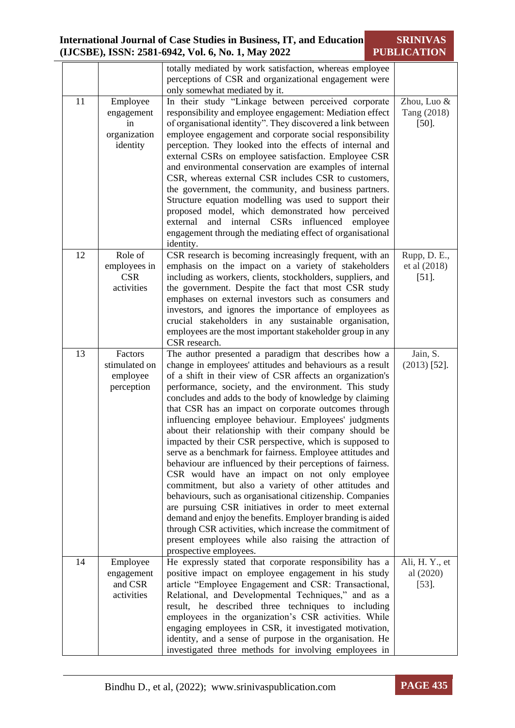totally mediated by work satisfaction, whereas employee perceptions of CSR and organizational engagement were only somewhat mediated by it. 11 Employee engagement in organization identity In their study "Linkage between perceived corporate responsibility and employee engagement: Mediation effect of organisational identity". They discovered a link between employee engagement and corporate social responsibility perception. They looked into the effects of internal and external CSRs on employee satisfaction. Employee CSR and environmental conservation are examples of internal CSR, whereas external CSR includes CSR to customers, the government, the community, and business partners. Structure equation modelling was used to support their proposed model, which demonstrated how perceived external and internal CSRs influenced employee engagement through the mediating effect of organisational identity. Zhou, Luo & Tang (2018) [50]. 12 Role of employees in CSR activities CSR research is becoming increasingly frequent, with an emphasis on the impact on a variety of stakeholders including as workers, clients, stockholders, suppliers, and the government. Despite the fact that most CSR study emphases on external investors such as consumers and investors, and ignores the importance of employees as crucial stakeholders in any sustainable organisation, employees are the most important stakeholder group in any CSR research. Rupp, D. E., et al (2018) [51]. 13 Factors stimulated on employee perception The author presented a paradigm that describes how a change in employees' attitudes and behaviours as a result of a shift in their view of CSR affects an organization's performance, society, and the environment. This study concludes and adds to the body of knowledge by claiming that CSR has an impact on corporate outcomes through influencing employee behaviour. Employees' judgments about their relationship with their company should be impacted by their CSR perspective, which is supposed to serve as a benchmark for fairness. Employee attitudes and behaviour are influenced by their perceptions of fairness. CSR would have an impact on not only employee commitment, but also a variety of other attitudes and behaviours, such as organisational citizenship. Companies are pursuing CSR initiatives in order to meet external demand and enjoy the benefits. Employer branding is aided through CSR activities, which increase the commitment of present employees while also raising the attraction of prospective employees. Jain, S. (2013) [52]. 14 Employee engagement and CSR activities He expressly stated that corporate responsibility has a positive impact on employee engagement in his study article "Employee Engagement and CSR: Transactional, Relational, and Developmental Techniques," and as a result, he described three techniques to including employees in the organization's CSR activities. While engaging employees in CSR, it investigated motivation, identity, and a sense of purpose in the organisation. He investigated three methods for involving employees in Ali, H. Y., et al (2020) [53].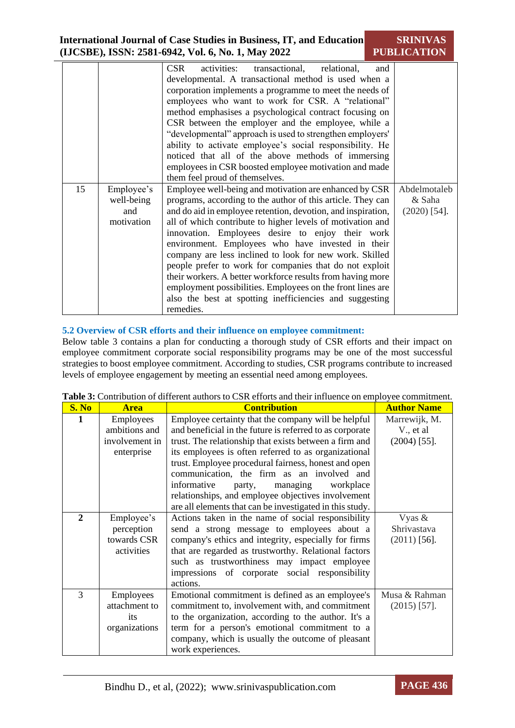| 15 | Employee's<br>well-being<br>and<br>motivation | <b>CSR</b><br>activities:<br>transactional, relational,<br>and<br>developmental. A transactional method is used when a<br>corporation implements a programme to meet the needs of<br>employees who want to work for CSR. A "relational"<br>method emphasises a psychological contract focusing on<br>CSR between the employer and the employee, while a<br>"developmental" approach is used to strengthen employers'<br>ability to activate employee's social responsibility. He<br>noticed that all of the above methods of immersing<br>employees in CSR boosted employee motivation and made<br>them feel proud of themselves.<br>Employee well-being and motivation are enhanced by CSR<br>programs, according to the author of this article. They can<br>and do aid in employee retention, devotion, and inspiration,<br>all of which contribute to higher levels of motivation and<br>innovation. Employees desire to enjoy their work<br>environment. Employees who have invested in their<br>company are less inclined to look for new work. Skilled<br>people prefer to work for companies that do not exploit<br>their workers. A better workforce results from having more<br>employment possibilities. Employees on the front lines are | Abdelmotaleb<br>& Saha<br>$(2020)$ [54]. |
|----|-----------------------------------------------|-----------------------------------------------------------------------------------------------------------------------------------------------------------------------------------------------------------------------------------------------------------------------------------------------------------------------------------------------------------------------------------------------------------------------------------------------------------------------------------------------------------------------------------------------------------------------------------------------------------------------------------------------------------------------------------------------------------------------------------------------------------------------------------------------------------------------------------------------------------------------------------------------------------------------------------------------------------------------------------------------------------------------------------------------------------------------------------------------------------------------------------------------------------------------------------------------------------------------------------------------------|------------------------------------------|
|    |                                               | also the best at spotting inefficiencies and suggesting<br>remedies.                                                                                                                                                                                                                                                                                                                                                                                                                                                                                                                                                                                                                                                                                                                                                                                                                                                                                                                                                                                                                                                                                                                                                                                |                                          |

## **5.2 Overview of CSR efforts and their influence on employee commitment:**

Below table 3 contains a plan for conducting a thorough study of CSR efforts and their impact on employee commitment corporate social responsibility programs may be one of the most successful strategies to boost employee commitment. According to studies, CSR programs contribute to increased levels of employee engagement by meeting an essential need among employees.

**Table 3:** Contribution of different authors to CSR efforts and their influence on employee commitment.

| S. No        | <b>Area</b>    | <b>Contribution</b>                                      | <b>Author Name</b> |
|--------------|----------------|----------------------------------------------------------|--------------------|
| 1            | Employees      | Employee certainty that the company will be helpful      | Marrewijk, M.      |
|              | ambitions and  | and beneficial in the future is referred to as corporate | V., et al.         |
|              | involvement in | trust. The relationship that exists between a firm and   | $(2004)$ [55].     |
|              | enterprise     | its employees is often referred to as organizational     |                    |
|              |                | trust. Employee procedural fairness, honest and open     |                    |
|              |                | communication, the firm as an involved and               |                    |
|              |                | informative<br>managing<br>workplace<br>party,           |                    |
|              |                | relationships, and employee objectives involvement       |                    |
|              |                | are all elements that can be investigated in this study. |                    |
| $\mathbf{2}$ | Employee's     | Actions taken in the name of social responsibility       | Vyas &             |
|              | perception     | send a strong message to employees about a               | Shrivastava        |
|              | towards CSR    | company's ethics and integrity, especially for firms     | $(2011)$ [56].     |
|              | activities     | that are regarded as trustworthy. Relational factors     |                    |
|              |                | such as trustworthiness may impact employee              |                    |
|              |                | impressions of corporate social responsibility           |                    |
|              |                | actions.                                                 |                    |
| 3            | Employees      | Emotional commitment is defined as an employee's         | Musa & Rahman      |
|              | attachment to  | commitment to, involvement with, and commitment          | $(2015)$ [57].     |
|              | its            | to the organization, according to the author. It's a     |                    |
|              | organizations  | term for a person's emotional commitment to a            |                    |
|              |                | company, which is usually the outcome of pleasant        |                    |
|              |                | work experiences.                                        |                    |

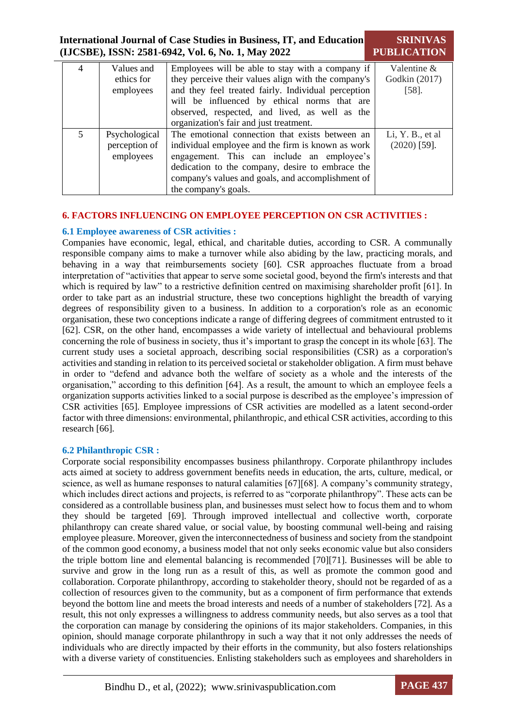| International Journal of Case Studies in Business, IT, and Education | <b>SRINIVAS</b>    |
|----------------------------------------------------------------------|--------------------|
| (IJCSBE), ISSN: 2581-6942, Vol. 6, No. 1, May 2022                   | <b>PUBLICATION</b> |

| 4 | Values and    | Employees will be able to stay with a company if    | Valentine $&$    |
|---|---------------|-----------------------------------------------------|------------------|
|   | ethics for    | they perceive their values align with the company's | Godkin (2017)    |
|   | employees     | and they feel treated fairly. Individual perception | $[58]$ .         |
|   |               | will be influenced by ethical norms that are        |                  |
|   |               | observed, respected, and lived, as well as the      |                  |
|   |               | organization's fair and just treatment.             |                  |
| 5 | Psychological | The emotional connection that exists between an     | Li, Y. B., et al |
|   | perception of | individual employee and the firm is known as work   | $(2020)$ [59].   |
|   | employees     | engagement. This can include an employee's          |                  |
|   |               | dedication to the company, desire to embrace the    |                  |
|   |               | company's values and goals, and accomplishment of   |                  |
|   |               | the company's goals.                                |                  |

# **6. FACTORS INFLUENCING ON EMPLOYEE PERCEPTION ON CSR ACTIVITIES :**

## **6.1 Employee awareness of CSR activities :**

Companies have economic, legal, ethical, and charitable duties, according to CSR. A communally responsible company aims to make a turnover while also abiding by the law, practicing morals, and behaving in a way that reimbursements society [60]. CSR approaches fluctuate from a broad interpretation of "activities that appear to serve some societal good, beyond the firm's interests and that which is required by law" to a restrictive definition centred on maximising shareholder profit [61]. In order to take part as an industrial structure, these two conceptions highlight the breadth of varying degrees of responsibility given to a business. In addition to a corporation's role as an economic organisation, these two conceptions indicate a range of differing degrees of commitment entrusted to it [62]. CSR, on the other hand, encompasses a wide variety of intellectual and behavioural problems concerning the role of business in society, thus it's important to grasp the concept in its whole [63]. The current study uses a societal approach, describing social responsibilities (CSR) as a corporation's activities and standing in relation to its perceived societal or stakeholder obligation. A firm must behave in order to "defend and advance both the welfare of society as a whole and the interests of the organisation," according to this definition [64]. As a result, the amount to which an employee feels a organization supports activities linked to a social purpose is described as the employee's impression of CSR activities [65]. Employee impressions of CSR activities are modelled as a latent second-order factor with three dimensions: environmental, philanthropic, and ethical CSR activities, according to this research [66].

#### **6.2 Philanthropic CSR :**

Corporate social responsibility encompasses business philanthropy. Corporate philanthropy includes acts aimed at society to address government benefits needs in education, the arts, culture, medical, or science, as well as humane responses to natural calamities [67][68]. A company's community strategy, which includes direct actions and projects, is referred to as "corporate philanthropy". These acts can be considered as a controllable business plan, and businesses must select how to focus them and to whom they should be targeted [69]. Through improved intellectual and collective worth, corporate philanthropy can create shared value, or social value, by boosting communal well-being and raising employee pleasure. Moreover, given the interconnectedness of business and society from the standpoint of the common good economy, a business model that not only seeks economic value but also considers the triple bottom line and elemental balancing is recommended [70][71]. Businesses will be able to survive and grow in the long run as a result of this, as well as promote the common good and collaboration. Corporate philanthropy, according to stakeholder theory, should not be regarded of as a collection of resources given to the community, but as a component of firm performance that extends beyond the bottom line and meets the broad interests and needs of a number of stakeholders [72]. As a result, this not only expresses a willingness to address community needs, but also serves as a tool that the corporation can manage by considering the opinions of its major stakeholders. Companies, in this opinion, should manage corporate philanthropy in such a way that it not only addresses the needs of individuals who are directly impacted by their efforts in the community, but also fosters relationships with a diverse variety of constituencies. Enlisting stakeholders such as employees and shareholders in

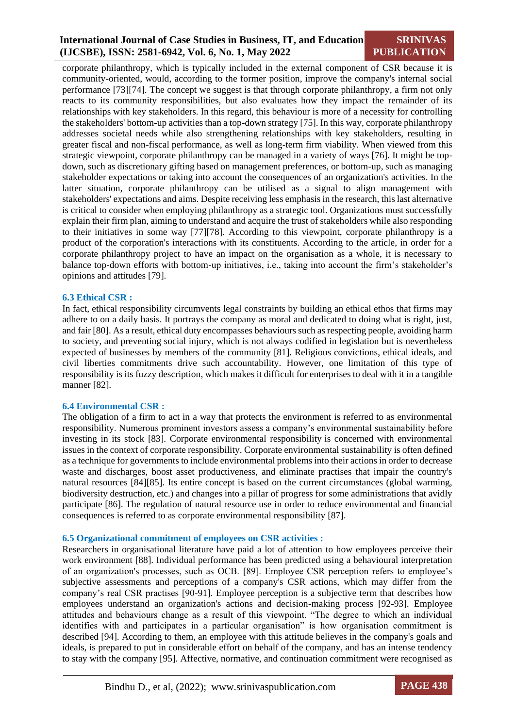## **SRINIVAS PUBLICATION**

corporate philanthropy, which is typically included in the external component of CSR because it is community-oriented, would, according to the former position, improve the company's internal social performance [73][74]. The concept we suggest is that through corporate philanthropy, a firm not only reacts to its community responsibilities, but also evaluates how they impact the remainder of its relationships with key stakeholders. In this regard, this behaviour is more of a necessity for controlling the stakeholders' bottom-up activities than a top-down strategy [75]. In this way, corporate philanthropy addresses societal needs while also strengthening relationships with key stakeholders, resulting in greater fiscal and non-fiscal performance, as well as long-term firm viability. When viewed from this strategic viewpoint, corporate philanthropy can be managed in a variety of ways [76]. It might be topdown, such as discretionary gifting based on management preferences, or bottom-up, such as managing stakeholder expectations or taking into account the consequences of an organization's activities. In the latter situation, corporate philanthropy can be utilised as a signal to align management with stakeholders' expectations and aims. Despite receiving less emphasis in the research, this last alternative is critical to consider when employing philanthropy as a strategic tool. Organizations must successfully explain their firm plan, aiming to understand and acquire the trust of stakeholders while also responding to their initiatives in some way [77][78]. According to this viewpoint, corporate philanthropy is a product of the corporation's interactions with its constituents. According to the article, in order for a corporate philanthropy project to have an impact on the organisation as a whole, it is necessary to balance top-down efforts with bottom-up initiatives, i.e., taking into account the firm's stakeholder's opinions and attitudes [79].

#### **6.3 Ethical CSR :**

In fact, ethical responsibility circumvents legal constraints by building an ethical ethos that firms may adhere to on a daily basis. It portrays the company as moral and dedicated to doing what is right, just, and fair [80]. As a result, ethical duty encompasses behaviours such as respecting people, avoiding harm to society, and preventing social injury, which is not always codified in legislation but is nevertheless expected of businesses by members of the community [81]. Religious convictions, ethical ideals, and civil liberties commitments drive such accountability. However, one limitation of this type of responsibility is its fuzzy description, which makes it difficult for enterprises to deal with it in a tangible manner [82].

#### **6.4 Environmental CSR :**

The obligation of a firm to act in a way that protects the environment is referred to as environmental responsibility. Numerous prominent investors assess a company's environmental sustainability before investing in its stock [83]. Corporate environmental responsibility is concerned with environmental issues in the context of corporate responsibility. Corporate environmental sustainability is often defined as a technique for governments to include environmental problems into their actions in order to decrease waste and discharges, boost asset productiveness, and eliminate practises that impair the country's natural resources [84][85]. Its entire concept is based on the current circumstances (global warming, biodiversity destruction, etc.) and changes into a pillar of progress for some administrations that avidly participate [86]. The regulation of natural resource use in order to reduce environmental and financial consequences is referred to as corporate environmental responsibility [87].

#### **6.5 Organizational commitment of employees on CSR activities :**

Researchers in organisational literature have paid a lot of attention to how employees perceive their work environment [88]. Individual performance has been predicted using a behavioural interpretation of an organization's processes, such as OCB. [89]. Employee CSR perception refers to employee's subjective assessments and perceptions of a company's CSR actions, which may differ from the company's real CSR practises [90-91]. Employee perception is a subjective term that describes how employees understand an organization's actions and decision-making process [92-93]. Employee attitudes and behaviours change as a result of this viewpoint. "The degree to which an individual identifies with and participates in a particular organisation" is how organisation commitment is described [94]. According to them, an employee with this attitude believes in the company's goals and ideals, is prepared to put in considerable effort on behalf of the company, and has an intense tendency to stay with the company [95]. Affective, normative, and continuation commitment were recognised as

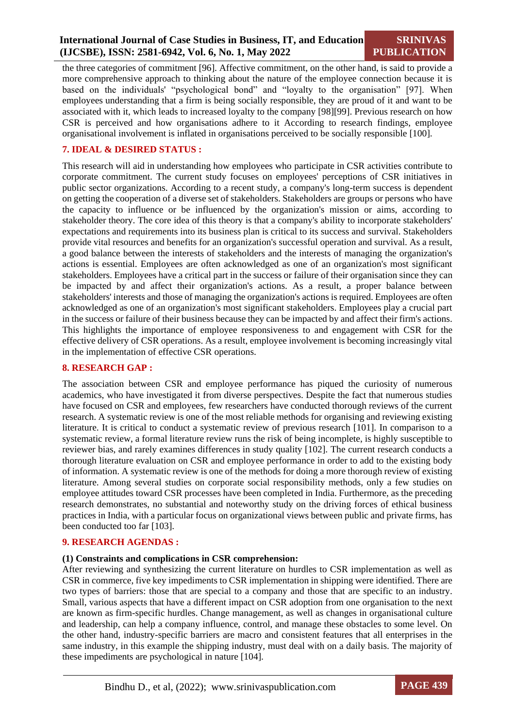**SRINIVAS PUBLICATION**

the three categories of commitment [96]. Affective commitment, on the other hand, is said to provide a more comprehensive approach to thinking about the nature of the employee connection because it is based on the individuals' "psychological bond" and "loyalty to the organisation" [97]. When employees understanding that a firm is being socially responsible, they are proud of it and want to be associated with it, which leads to increased loyalty to the company [98][99]. Previous research on how CSR is perceived and how organisations adhere to it According to research findings, employee organisational involvement is inflated in organisations perceived to be socially responsible [100].

# **7. IDEAL & DESIRED STATUS :**

This research will aid in understanding how employees who participate in CSR activities contribute to corporate commitment. The current study focuses on employees' perceptions of CSR initiatives in public sector organizations. According to a recent study, a company's long-term success is dependent on getting the cooperation of a diverse set of stakeholders. Stakeholders are groups or persons who have the capacity to influence or be influenced by the organization's mission or aims, according to stakeholder theory. The core idea of this theory is that a company's ability to incorporate stakeholders' expectations and requirements into its business plan is critical to its success and survival. Stakeholders provide vital resources and benefits for an organization's successful operation and survival. As a result, a good balance between the interests of stakeholders and the interests of managing the organization's actions is essential. Employees are often acknowledged as one of an organization's most significant stakeholders. Employees have a critical part in the success or failure of their organisation since they can be impacted by and affect their organization's actions. As a result, a proper balance between stakeholders' interests and those of managing the organization's actions is required. Employees are often acknowledged as one of an organization's most significant stakeholders. Employees play a crucial part in the success or failure of their business because they can be impacted by and affect their firm's actions. This highlights the importance of employee responsiveness to and engagement with CSR for the effective delivery of CSR operations. As a result, employee involvement is becoming increasingly vital in the implementation of effective CSR operations.

### **8. RESEARCH GAP :**

The association between CSR and employee performance has piqued the curiosity of numerous academics, who have investigated it from diverse perspectives. Despite the fact that numerous studies have focused on CSR and employees, few researchers have conducted thorough reviews of the current research. A systematic review is one of the most reliable methods for organising and reviewing existing literature. It is critical to conduct a systematic review of previous research [101]. In comparison to a systematic review, a formal literature review runs the risk of being incomplete, is highly susceptible to reviewer bias, and rarely examines differences in study quality [102]. The current research conducts a thorough literature evaluation on CSR and employee performance in order to add to the existing body of information. A systematic review is one of the methods for doing a more thorough review of existing literature. Among several studies on corporate social responsibility methods, only a few studies on employee attitudes toward CSR processes have been completed in India. Furthermore, as the preceding research demonstrates, no substantial and noteworthy study on the driving forces of ethical business practices in India, with a particular focus on organizational views between public and private firms, has been conducted too far [103].

#### **9. RESEARCH AGENDAS :**

#### **(1) Constraints and complications in CSR comprehension:**

After reviewing and synthesizing the current literature on hurdles to CSR implementation as well as CSR in commerce, five key impediments to CSR implementation in shipping were identified. There are two types of barriers: those that are special to a company and those that are specific to an industry. Small, various aspects that have a different impact on CSR adoption from one organisation to the next are known as firm-specific hurdles. Change management, as well as changes in organisational culture and leadership, can help a company influence, control, and manage these obstacles to some level. On the other hand, industry-specific barriers are macro and consistent features that all enterprises in the same industry, in this example the shipping industry, must deal with on a daily basis. The majority of these impediments are psychological in nature [104].

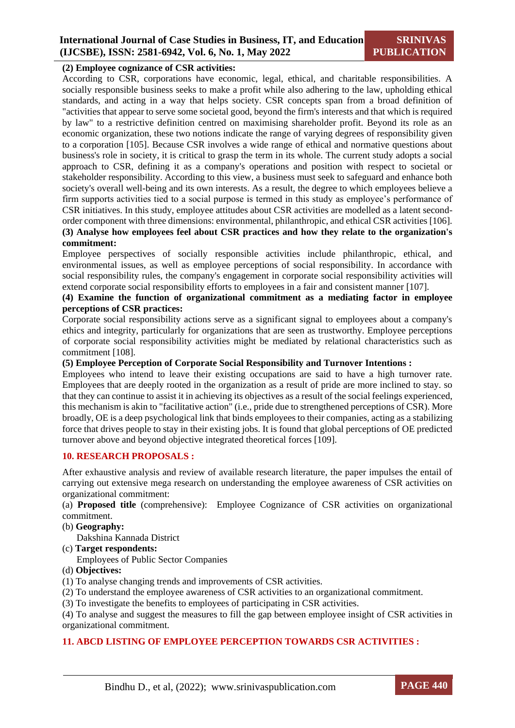# **(2) Employee cognizance of CSR activities:**

According to CSR, corporations have economic, legal, ethical, and charitable responsibilities. A socially responsible business seeks to make a profit while also adhering to the law, upholding ethical standards, and acting in a way that helps society. CSR concepts span from a broad definition of "activities that appear to serve some societal good, beyond the firm's interests and that which is required by law" to a restrictive definition centred on maximising shareholder profit. Beyond its role as an economic organization, these two notions indicate the range of varying degrees of responsibility given to a corporation [105]. Because CSR involves a wide range of ethical and normative questions about business's role in society, it is critical to grasp the term in its whole. The current study adopts a social approach to CSR, defining it as a company's operations and position with respect to societal or stakeholder responsibility. According to this view, a business must seek to safeguard and enhance both society's overall well-being and its own interests. As a result, the degree to which employees believe a firm supports activities tied to a social purpose is termed in this study as employee's performance of CSR initiatives. In this study, employee attitudes about CSR activities are modelled as a latent secondorder component with three dimensions: environmental, philanthropic, and ethical CSR activities [106]. **(3) Analyse how employees feel about CSR practices and how they relate to the organization's** 

#### **commitment:**

Employee perspectives of socially responsible activities include philanthropic, ethical, and environmental issues, as well as employee perceptions of social responsibility. In accordance with social responsibility rules, the company's engagement in corporate social responsibility activities will extend corporate social responsibility efforts to employees in a fair and consistent manner [107].

# **(4) Examine the function of organizational commitment as a mediating factor in employee perceptions of CSR practices:**

Corporate social responsibility actions serve as a significant signal to employees about a company's ethics and integrity, particularly for organizations that are seen as trustworthy. Employee perceptions of corporate social responsibility activities might be mediated by relational characteristics such as commitment [108].

### **(5) Employee Perception of Corporate Social Responsibility and Turnover Intentions :**

Employees who intend to leave their existing occupations are said to have a high turnover rate. Employees that are deeply rooted in the organization as a result of pride are more inclined to stay. so that they can continue to assist it in achieving its objectives as a result of the social feelings experienced, this mechanism is akin to "facilitative action" (i.e., pride due to strengthened perceptions of CSR). More broadly, OE is a deep psychological link that binds employees to their companies, acting as a stabilizing force that drives people to stay in their existing jobs. It is found that global perceptions of OE predicted turnover above and beyond objective integrated theoretical forces [109].

# **10. RESEARCH PROPOSALS :**

After exhaustive analysis and review of available research literature, the paper impulses the entail of carrying out extensive mega research on understanding the employee awareness of CSR activities on organizational commitment:

(a) **Proposed title** (comprehensive): Employee Cognizance of CSR activities on organizational commitment.

(b) **Geography:**

Dakshina Kannada District

(c) **Target respondents:** 

Employees of Public Sector Companies

- (d) **Objectives:**
- (1) To analyse changing trends and improvements of CSR activities.
- (2) To understand the employee awareness of CSR activities to an organizational commitment.
- (3) To investigate the benefits to employees of participating in CSR activities.

(4) To analyse and suggest the measures to fill the gap between employee insight of CSR activities in organizational commitment.

#### **11. ABCD LISTING OF EMPLOYEE PERCEPTION TOWARDS CSR ACTIVITIES :**

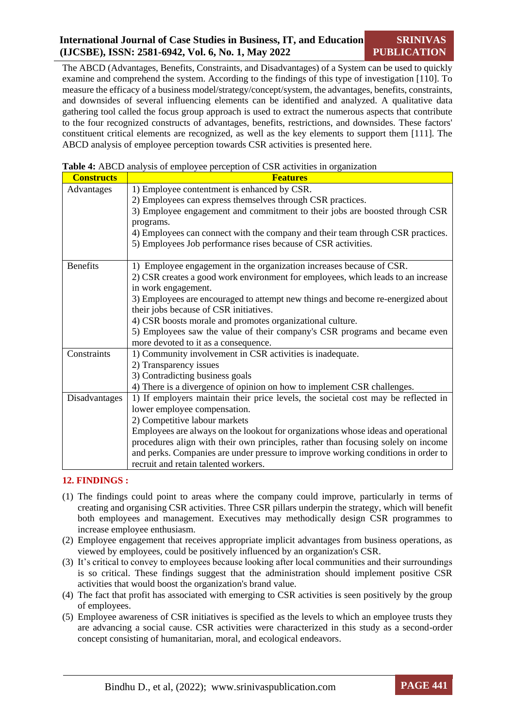The ABCD (Advantages, Benefits, Constraints, and Disadvantages) of a System can be used to quickly examine and comprehend the system. According to the findings of this type of investigation [110]. To measure the efficacy of a business model/strategy/concept/system, the advantages, benefits, constraints, and downsides of several influencing elements can be identified and analyzed. A qualitative data gathering tool called the focus group approach is used to extract the numerous aspects that contribute to the four recognized constructs of advantages, benefits, restrictions, and downsides. These factors' constituent critical elements are recognized, as well as the key elements to support them [111]. The ABCD analysis of employee perception towards CSR activities is presented here.

| <b>Constructs</b> | <b>Features</b>                                                                    |  |  |
|-------------------|------------------------------------------------------------------------------------|--|--|
| Advantages        | 1) Employee contentment is enhanced by CSR.                                        |  |  |
|                   | 2) Employees can express themselves through CSR practices.                         |  |  |
|                   | 3) Employee engagement and commitment to their jobs are boosted through CSR        |  |  |
|                   | programs.                                                                          |  |  |
|                   | 4) Employees can connect with the company and their team through CSR practices.    |  |  |
|                   | 5) Employees Job performance rises because of CSR activities.                      |  |  |
|                   |                                                                                    |  |  |
| <b>Benefits</b>   | 1) Employee engagement in the organization increases because of CSR.               |  |  |
|                   | 2) CSR creates a good work environment for employees, which leads to an increase   |  |  |
|                   | in work engagement.                                                                |  |  |
|                   | 3) Employees are encouraged to attempt new things and become re-energized about    |  |  |
|                   | their jobs because of CSR initiatives.                                             |  |  |
|                   | 4) CSR boosts morale and promotes organizational culture.                          |  |  |
|                   | 5) Employees saw the value of their company's CSR programs and became even         |  |  |
|                   | more devoted to it as a consequence.                                               |  |  |
| Constraints       | 1) Community involvement in CSR activities is inadequate.                          |  |  |
|                   | 2) Transparency issues                                                             |  |  |
|                   | 3) Contradicting business goals                                                    |  |  |
|                   | 4) There is a divergence of opinion on how to implement CSR challenges.            |  |  |
| Disadvantages     | 1) If employers maintain their price levels, the societal cost may be reflected in |  |  |
|                   | lower employee compensation.                                                       |  |  |
|                   | 2) Competitive labour markets                                                      |  |  |
|                   | Employees are always on the lookout for organizations whose ideas and operational  |  |  |
|                   | procedures align with their own principles, rather than focusing solely on income  |  |  |
|                   | and perks. Companies are under pressure to improve working conditions in order to  |  |  |
|                   | recruit and retain talented workers.                                               |  |  |

|  | Table 4: ABCD analysis of employee perception of CSR activities in organization |  |
|--|---------------------------------------------------------------------------------|--|
|  |                                                                                 |  |

# **12. FINDINGS :**

- (1) The findings could point to areas where the company could improve, particularly in terms of creating and organising CSR activities. Three CSR pillars underpin the strategy, which will benefit both employees and management. Executives may methodically design CSR programmes to increase employee enthusiasm.
- (2) Employee engagement that receives appropriate implicit advantages from business operations, as viewed by employees, could be positively influenced by an organization's CSR.
- (3) It's critical to convey to employees because looking after local communities and their surroundings is so critical. These findings suggest that the administration should implement positive CSR activities that would boost the organization's brand value.
- (4) The fact that profit has associated with emerging to CSR activities is seen positively by the group of employees.
- (5) Employee awareness of CSR initiatives is specified as the levels to which an employee trusts they are advancing a social cause. CSR activities were characterized in this study as a second-order concept consisting of humanitarian, moral, and ecological endeavors.

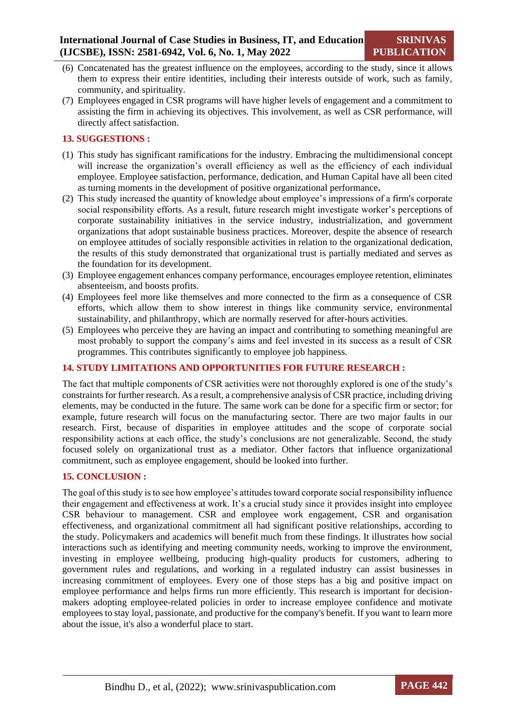- (6) Concatenated has the greatest influence on the employees, according to the study, since it allows them to express their entire identities, including their interests outside of work, such as family, community, and spirituality.
- (7) Employees engaged in CSR programs will have higher levels of engagement and a commitment to assisting the firm in achieving its objectives. This involvement, as well as CSR performance, will directly affect satisfaction.

# **13. SUGGESTIONS :**

- (1) This study has significant ramifications for the industry. Embracing the multidimensional concept will increase the organization's overall efficiency as well as the efficiency of each individual employee. Employee satisfaction, performance, dedication, and Human Capital have all been cited as turning moments in the development of positive organizational performance**.**
- (2) This study increased the quantity of knowledge about employee's impressions of a firm's corporate social responsibility efforts. As a result, future research might investigate worker's perceptions of corporate sustainability initiatives in the service industry, industrialization, and government organizations that adopt sustainable business practices. Moreover, despite the absence of research on employee attitudes of socially responsible activities in relation to the organizational dedication, the results of this study demonstrated that organizational trust is partially mediated and serves as the foundation for its development.
- (3) Employee engagement enhances company performance, encourages employee retention, eliminates absenteeism, and boosts profits.
- (4) Employees feel more like themselves and more connected to the firm as a consequence of CSR efforts, which allow them to show interest in things like community service, environmental sustainability, and philanthropy, which are normally reserved for after-hours activities.
- (5) Employees who perceive they are having an impact and contributing to something meaningful are most probably to support the company's aims and feel invested in its success as a result of CSR programmes. This contributes significantly to employee job happiness.

# **14. STUDY LIMITATIONS AND OPPORTUNITIES FOR FUTURE RESEARCH :**

The fact that multiple components of CSR activities were not thoroughly explored is one of the study's constraints for further research. As a result, a comprehensive analysis of CSR practice, including driving elements, may be conducted in the future. The same work can be done for a specific firm or sector; for example, future research will focus on the manufacturing sector. There are two major faults in our research. First, because of disparities in employee attitudes and the scope of corporate social responsibility actions at each office, the study's conclusions are not generalizable. Second, the study focused solely on organizational trust as a mediator. Other factors that influence organizational commitment, such as employee engagement, should be looked into further.

#### **15. CONCLUSION :**

The goal of this study is to see how employee's attitudes toward corporate social responsibility influence their engagement and effectiveness at work. It's a crucial study since it provides insight into employee CSR behaviour to management. CSR and employee work engagement, CSR and organisation effectiveness, and organizational commitment all had significant positive relationships, according to the study. Policymakers and academics will benefit much from these findings. It illustrates how social interactions such as identifying and meeting community needs, working to improve the environment, investing in employee wellbeing, producing high-quality products for customers, adhering to government rules and regulations, and working in a regulated industry can assist businesses in increasing commitment of employees. Every one of those steps has a big and positive impact on employee performance and helps firms run more efficiently. This research is important for decisionmakers adopting employee-related policies in order to increase employee confidence and motivate employees to stay loyal, passionate, and productive for the company's benefit. If you want to learn more about the issue, it's also a wonderful place to start.

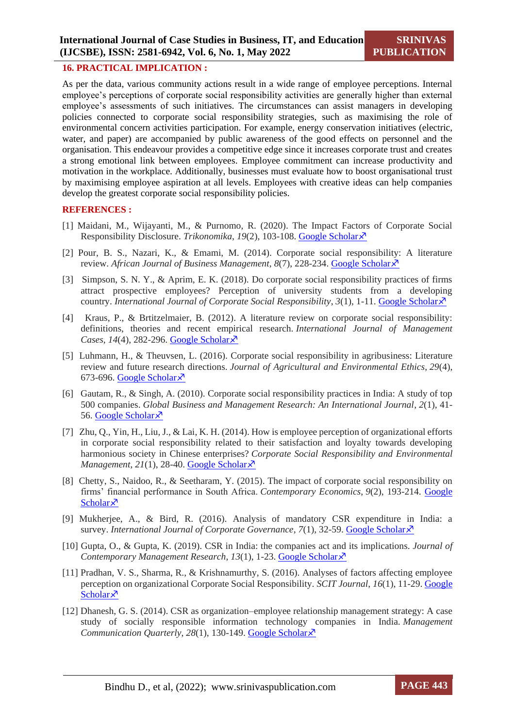#### **16. PRACTICAL IMPLICATION :**

As per the data, various community actions result in a wide range of employee perceptions. Internal employee's perceptions of corporate social responsibility activities are generally higher than external employee's assessments of such initiatives. The circumstances can assist managers in developing policies connected to corporate social responsibility strategies, such as maximising the role of environmental concern activities participation. For example, energy conservation initiatives (electric, water, and paper) are accompanied by public awareness of the good effects on personnel and the organisation. This endeavour provides a competitive edge since it increases corporate trust and creates a strong emotional link between employees. Employee commitment can increase productivity and motivation in the workplace. Additionally, businesses must evaluate how to boost organisational trust by maximising employee aspiration at all levels. Employees with creative ideas can help companies develop the greatest corporate social responsibility policies.

#### **REFERENCES :**

- [1] Maidani, M., Wijayanti, M., & Purnomo, R. (2020). The Impact Factors of Corporate Social Responsibility Disclosure. *Trikonomika*, *19*(2), 103-108. [Google Scholar](https://journal.unpas.ac.id/index.php/trikonomika/article/view/1619/1623)
- [2] Pour, B. S., Nazari, K., & Emami, M. (2014). Corporate social responsibility: A literature review. *African Journal of Business Management*, *8*(7), 228-234. [Google Scholar](file:///C:/Users/DELL/AppData/Roaming/Microsoft/Word/cholar.google.com/scholar%3fhl=en&as_sdt=0,5&q=Pour,+B.+S.,+Nazari,+K.,+&+Emami,+M.+(2014).+Corporate+social+responsibility:+A+literature+review.+African+Journal+of+Business+Management,+8(7),+228-234.&btnG=)  $\lambda$
- [3] Simpson, S. N. Y., & Aprim, E. K. (2018). Do corporate social responsibility practices of firms attract prospective employees? Perception of university students from a developing country. *International Journal of Corporate Social Responsibility*, *3*(1), 1-11. [Google Scholar](https://jcsr.springeropen.com/articles/10.1186/s40991-018-0031-6)
- [4] Kraus, P., & Brtitzelmaier, B. (2012). A literature review on corporate social responsibility: definitions, theories and recent empirical research. *International Journal of Management Cases*, *14*(4), 282-296. [Google Scholar](https://scholar.google.com/scholar?hl=en&as_sdt=0%2C5&q=Kraus%2C+P.%2C+%26+Brtitzelmaier%2C+B.+%282012%29.+A+literature+review+on+corporate+social+responsibility%3A+definitions%2C+theories+and+recent+empirical+research.+International+Journal+of+Management+Cases%2C+14%284%29%2C+282-296.&btnG=)
- [5] Luhmann, H., & Theuvsen, L. (2016). Corporate social responsibility in agribusiness: Literature review and future research directions. *Journal of Agricultural and Environmental Ethics*, *29*(4), 673-696. [Google Scholar](file:///C:/Users/DELL/AppData/Roaming/Microsoft/Word/cholar.google.com/scholar) $\lambda$
- [6] Gautam, R., & Singh, A. (2010). Corporate social responsibility practices in India: A study of top 500 companies. *Global Business and Management Research: An International Journal*, *2*(1), 41- 56. [Google Scholar](https://scholar.google.com/scholar?hl=en&as_sdt=0%2C5&q=Gautam%2C+R.%2C+%26+Singh%2C+A.+%282010%29.+Corporate+social+responsibility+practices+in+India%3A+A+study+of+top+500+companies.+Global+Business+and+Management+Research%3A+An+International+Journal%2C+2%281%29%2C+41-56.&btnG=) $\overline{\mathsf{x}}$
- [7] Zhu, Q., Yin, H., Liu, J., & Lai, K. H. (2014). How is employee perception of organizational efforts in corporate social responsibility related to their satisfaction and loyalty towards developing harmonious society in Chinese enterprises? *Corporate Social Responsibility and Environmental Management*,  $2I(1)$ , 28-40[. Google Scholar](https://scholar.google.com/scholar?hl=en&as_sdt=0%2C5&q=Zhu%2C+Q.%2C+Yin%2C+H.%2C+Liu%2C+J.%2C+%26+Lai%2C+K.+H.+%282014%29.+How+is+employee+perception+of+organizational+efforts+in+corporate+social+responsibility+related+to+their+satisfaction+and+loyalty+towards+developing+harmonious+society+in+Chinese+enterprises%3F+Corporate+Social+Responsibility+and+Environmental+Management%2C+21%281%29%2C+28-40.&btnG=) $\lambda$ <sup>7</sup>
- [8] Chetty, S., Naidoo, R., & Seetharam, Y. (2015). The impact of corporate social responsibility on firms' financial performance in South Africa. *Contemporary Economics*, *9*(2), 193-214. [Google](https://www.econstor.eu/bitstream/10419/141905/1/833201824.pdf)  [Scholar](https://www.econstor.eu/bitstream/10419/141905/1/833201824.pdf) $\lambda$
- [9] Mukherjee, A., & Bird, R. (2016). Analysis of mandatory CSR expenditure in India: a survey. *International Journal of Corporate Governance*, *7*(1), 32-59. [Google Scholar](https://scholar.google.com/scholar?hl=en&as_sdt=0%2C5&q=Mukherjee%2C+A.%2C+%26+Bird%2C+R.+%282016%29.+Analysis+of+mandatory+CSR+expenditure+in+India%3A+a+survey.+International+Journal+of+Corporate+Governance%2C+7%281%29%2C+32-59.&btnG=)
- [10] Gupta, O., & Gupta, K. (2019). CSR in India: the companies act and its implications. *Journal of Contemporary Management Research*, *13*(1), 1-23. [Google Scholar](https://scholar.google.com/scholar?hl=en&as_sdt=0%2C5&q=Gupta%2C+O.%2C+%26+Gupta%2C+K.+%282019%29.+CSR+in+India%3A+the+companies+act+and+its+implications.+Journal+of+Contemporary+Management+Research%2C+13%281%29%2C+1-23.&btnG=)
- [11] Pradhan, V. S., Sharma, R., & Krishnamurthy, S. (2016). Analyses of factors affecting employee perception on organizational Corporate Social Responsibility. *SCIT Journal*, *16*(1), 11-29. [Google](https://scholar.google.com/scholar?hl=en&as_sdt=0%2C5&q=Pradhan%2C+V.+S.%2C+Sharma%2C+R.%2C+%26+Krishnamurthy%2C+S.+%282016%29.+Analyses+of+factors+affecting+employee+perception+on+organizational+Corporate+Social+Responsibility.+SCIT+Journal%2C+16%281%29%2C+11-29.&btnG=)  [Scholar](https://scholar.google.com/scholar?hl=en&as_sdt=0%2C5&q=Pradhan%2C+V.+S.%2C+Sharma%2C+R.%2C+%26+Krishnamurthy%2C+S.+%282016%29.+Analyses+of+factors+affecting+employee+perception+on+organizational+Corporate+Social+Responsibility.+SCIT+Journal%2C+16%281%29%2C+11-29.&btnG=) $\lambda$
- [12] Dhanesh, G. S. (2014). CSR as organization–employee relationship management strategy: A case study of socially responsible information technology companies in India. *Management Communication Quarterly, 28(1), 130-149. [Google Scholar](https://scholar.google.com/scholar?hl=en&as_sdt=0%2C5&q=Dhanesh%2C+G.+S.+%282014%29.+CSR+as+organization%E2%80%93employee+relationship+management+strategy%3A+A+case+study+of+socially+responsible+information+technology+companies+in+India.+Management+Communication+Quarterly%2C+28%281%29%2C+130-149.&btnG=)* $\lambda$

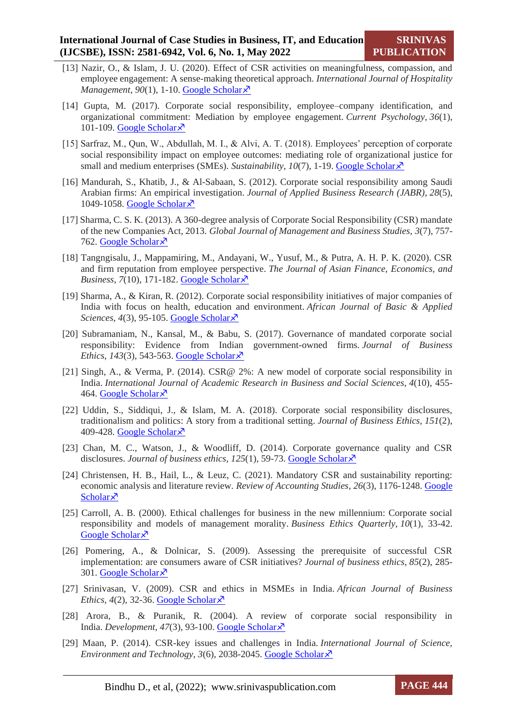- [13] Nazir, O., & Islam, J. U. (2020). Effect of CSR activities on meaningfulness, compassion, and employee engagement: A sense-making theoretical approach. *International Journal of Hospitality Management*, 90(1), 1-10. [Google Scholar](https://scholar.google.com/scholar?hl=en&as_sdt=0%2C5&q=Nazir%2C+O.%2C+%26+Islam%2C+J.+U.+%282020%29.+Effect+of+CSR+activities+on+meaningfulness%2C+compassion%2C+and+employee+engagement%3A+A+sense-making+theoretical+approach.+International+Journal+of+Hospitality+Management%2C+90%281%29%2C+1-10.&btnG=)  $\lambda$ <sup>7</sup>
- [14] Gupta, M. (2017). Corporate social responsibility, employee–company identification, and organizational commitment: Mediation by employee engagement. *Current Psychology*, *36*(1), 101-109. [Google Scholar](https://scholar.google.com/scholar?hl=en&as_sdt=0%2C5&q=Gupta%2C+M.+%282017%29.+Corporate+social+responsibility%2C+employee%E2%80%93company+identification%2C+and+organizational+commitment%3A+Mediation+by+employee+engagement.+Current+Psychology%2C+36%281%29%2C+101-109.&btnG=) $\bar{x}$
- [15] Sarfraz, M., Qun, W., Abdullah, M. I., & Alvi, A. T. (2018). Employees' perception of corporate social responsibility impact on employee outcomes: mediating role of organizational justice for small and medium enterprises (SMEs). *Sustainability*, *10*(7), 1-19. [Google Scholar](https://scholar.google.com/scholar?hl=en&as_sdt=0%2C5&q=Sarfraz%2C+M.%2C+Qun%2C+W.%2C+Abdullah%2C+M.+I.%2C+%26+Alvi%2C+A.+T.+%282018%29.+Employees%E2%80%99+perception+of+corporate+social+responsibility+impact+on+employee+outcomes%3A+mediating+role+of+organizational+justice+for+small+and+medium+enterprises+%28SMEs%29.+Sustainability%2C+10%287%29%2C+1-19.&btnG=) $\times$ <sup>7</sup>
- [16] Mandurah, S., Khatib, J., & Al-Sabaan, S. (2012). Corporate social responsibility among Saudi Arabian firms: An empirical investigation. *Journal of Applied Business Research (JABR)*, *28*(5), 1049-1058. [Google Scholar](file:///C:/Users/DELL/Downloads/ciadmin,+Journal+manager,+7244-28915-1-CE%20(1).pdf) $\bar{x}$
- [17] Sharma, C. S. K. (2013). A 360-degree analysis of Corporate Social Responsibility (CSR) mandate of the new Companies Act, 2013. *Global Journal of Management and Business Studies*, *3*(7), 757- 762. [Google Scholar](https://scholar.google.com/scholar?hl=en&as_sdt=0%2C5&q=Sharma%2C+C.+S.+K.+%282013%29.+A+360-degree+analysis+of+Corporate+Social+Responsibility+%28CSR%29+mandate+of+the+new+Companies+Act%2C+2013.+Global+Journal+of+Management+and+Business+Studies%2C+3%287%29%2C+757-762.&btnG=)s
- [18] Tangngisalu, J., Mappamiring, M., Andayani, W., Yusuf, M., & Putra, A. H. P. K. (2020). CSR and firm reputation from employee perspective. *The Journal of Asian Finance, Economics, and Business*,  $7(10)$ , 171-182. [Google Scholar](https://www.koreascience.or.kr/article/JAKO202029062616327.pdf) $\lambda$
- [19] Sharma, A., & Kiran, R. (2012). Corporate social responsibility initiatives of major companies of India with focus on health, education and environment. *African Journal of Basic & Applied Sciences*, *4*(3), 95-105. [Google Scholar](https://scholar.google.com/scholar?hl=en&as_sdt=0%2C5&q=Sharma%2C+A.%2C+%26+Kiran%2C+R.+%282012%29.+Corporate+social+responsibility+initiatives+of+major+companies+of+India+with+focus+on+health%2C+education+and+environment.+African+Journal+of+Basic+%26+Applied+Sciences%2C+4%283%29%2C+95-105.&btnG=)
- [20] Subramaniam, N., Kansal, M., & Babu, S. (2017). Governance of mandated corporate social responsibility: Evidence from Indian government-owned firms. *Journal of Business Ethics*,  $143(3)$ , 543-563. [Google Scholar](https://scholar.google.com/scholar?hl=en&as_sdt=0%2C5&q=Subramaniam%2C+N.%2C+Kansal%2C+M.%2C+%26+Babu%2C+S.+%282017%29.+Governance+of+mandated+corporate+social+responsibility%3A+Evidence+from+Indian+government-owned+firms.+Journal+of+Business+Ethics%2C+143%283%29%2C+543-563.&btnG=) $\lambda$
- [21] Singh, A., & Verma, P. (2014). CSR@ 2%: A new model of corporate social responsibility in India. *International Journal of Academic Research in Business and Social Sciences*, *4*(10), 455- 464. [Google Scholar](https://scholar.google.com/scholar?hl=en&as_sdt=0%2C5&q=Singh%2C+A.%2C+%26+Verma%2C+P.+%282014%29.+CSR%40+2%25%3A+A+new+model+of+corporate+social+responsibility+in+India.+International+Journal+of+Academic+Research+in+Business+and+Social+Sciences%2C+4%2810%29%2C+455-464.&btnG=)s
- [22] Uddin, S., Siddiqui, J., & Islam, M. A. (2018). Corporate social responsibility disclosures, traditionalism and politics: A story from a traditional setting. *Journal of Business Ethics*, *151*(2), 409-428. [Google Scholar](https://scholar.google.com/scholar?hl=en&as_sdt=0%2C5&q=Uddin%2C+S.%2C+Siddiqui%2C+J.%2C+%26+Islam%2C+M.+A.+%282018%29.+Corporate+social+responsibility+disclosures%2C+traditionalism+and+politics%3A+A+story+from+a+traditional+setting.+Journal+of+Business+Ethics%2C+151%282%29%2C+409-428.&btnG=)s
- [23] Chan, M. C., Watson, J., & Woodliff, D. (2014). Corporate governance quality and CSR disclosures. *Journal of business ethics*, *125*(1), 59-73. [Google Scholar](https://scholar.google.com/scholar?hl=en&as_sdt=0%2C5&q=Chan%2C+M.+C.%2C+Watson%2C+J.%2C+%26+Woodliff%2C+D.+%282014%29.+Corporate+governance+quality+and+CSR+disclosures.+Journal+of+business+ethics%2C+125%281%29%2C+59-73.&btnG=)
- [24] Christensen, H. B., Hail, L., & Leuz, C. (2021). Mandatory CSR and sustainability reporting: economic analysis and literature review. *Review of Accounting Studies*, *26*(3), 1176-1248. [Google](https://scholar.google.com/scholar?hl=en&as_sdt=0%2C5&q=Christensen%2C+H.+B.%2C+Hail%2C+L.%2C+%26+Leuz%2C+C.+%282021%29.+Mandatory+CSR+and+sustainability+reporting%3A+economic+analysis+and+literature+review.+Review+of+Accounting+Studies%2C+26%283%29%2C+1176-1248.&btnG=)  [Scholar](https://scholar.google.com/scholar?hl=en&as_sdt=0%2C5&q=Christensen%2C+H.+B.%2C+Hail%2C+L.%2C+%26+Leuz%2C+C.+%282021%29.+Mandatory+CSR+and+sustainability+reporting%3A+economic+analysis+and+literature+review.+Review+of+Accounting+Studies%2C+26%283%29%2C+1176-1248.&btnG=) $\lambda$
- [25] Carroll, A. B. (2000). Ethical challenges for business in the new millennium: Corporate social responsibility and models of management morality. *Business Ethics Quarterly*, *10*(1), 33-42. [Google Scholar](https://scholar.google.com/scholar?hl=en&as_sdt=0%2C5&q=Carroll%2C+A.+B.+%282000%29.+Ethical+challenges+for+business+in+the+new+millennium%3A+Corporate+social+responsibility+and+models+of+management+morality.+Business+Ethics+Quarterly%2C+10%281%29%2C+33-42.+Google+Scholar%EF%81%A6&btnG=)<sup> $\lambda$ </sup>
- [26] Pomering, A., & Dolnicar, S. (2009). Assessing the prerequisite of successful CSR implementation: are consumers aware of CSR initiatives? *Journal of business ethics*, *85*(2), 285- 301. [Google Scholar](https://scholar.google.com/scholar?hl=en&as_sdt=0%2C5&q=Pomering%2C+A.%2C+%26+Dolnicar%2C+S.+%282009%29.+Assessing+the+prerequisite+of+successful+CSR+implementation%3A+are+consumers+aware+of+CSR+initiatives%3F+Journal+of+business+ethics%2C+85%282%29%2C+285-301.&btnG=)
- [27] Srinivasan, V. (2009). CSR and ethics in MSMEs in India. *African Journal of Business Ethics*,  $4(2)$ , 32-36. [Google Scholar](https://scholar.google.com/scholar?hl=en&as_sdt=0%2C5&q=Srinivasan%2C+V.+%282009%29.+CSR+and+ethics+in+MSMEs+in+India.+African+Journal+of+Business+Ethics%2C+4%282%29%2C+32-36.&btnG=) $\overline{x}$
- [28] Arora, B., & Puranik, R. (2004). A review of corporate social responsibility in India. *Development*, *47*(3), 93-100. [Google Scholar](https://scholar.google.co.in/scholar?hl=en&as_sdt=0%2C5&q=Arora%2C+B.%2C+%26+Puranik%2C+R.+%282004%29.+A+review+of+corporate+social+responsibility+in+India.+Development%2C+47%283%29%2C+93-100.&btnG=)
- [29] Maan, P. (2014). CSR-key issues and challenges in India. *International Journal of Science, Environment and Technology*, *3*(6), 2038-2045. [Google Scholar](https://scholar.google.com/scholar?hl=en&as_sdt=0%2C5&q=Maan%2C+P.+%282014%29.+CSR-key+issues+and+challenges+in+India.+International+Journal+of+Science%2C+Environment+and+Technology%2C+3%286%29%2C+2038-2045.&btnG=)  $\lambda$

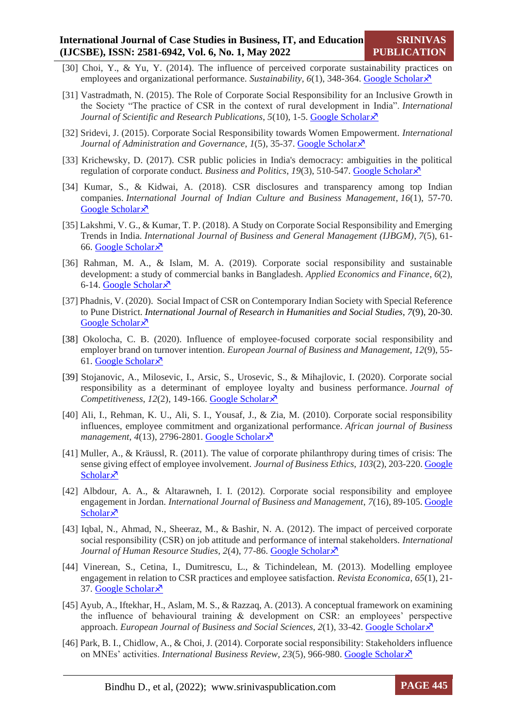- [30] Choi, Y., & Yu, Y. (2014). The influence of perceived corporate sustainability practices on employees and organizational performance. *Sustainability*,  $6(1)$ , 348-364. [Google Scholar](https://scholar.google.com/scholar?hl=en&as_sdt=0%2C5&q=Choi%2C+Y.%2C+%26+Yu%2C+Y.+%282014%29.+The+influence+of+perceived+corporate+sustainability+practices+on+employees+and+organizational+performance.+Sustainability%2C+6%281%29%2C+348-364.&btnG=)  $\lambda$ <sup>3</sup>
- [31] Vastradmath, N. (2015). The Role of Corporate Social Responsibility for an Inclusive Growth in the Society "The practice of CSR in the context of rural development in India". *International Journal of Scientific and Research Publications, 5(10), 1-5. [Google Scholar](https://scholar.google.co.in/scholar?hl=en&as_sdt=0%2C5&q=Vastradmath%2C+N.+%282015%29.+The+Role+of+Corporate+Social+Responsibility+for+an+Inclusive+Growth+in+the+Society+%E2%80%9CThe+practice+of+CSR+in+the+context+of+rural+development+in+India%E2%80%9D.+International+Journal+of+Scientific+and+Research+Publications%2C+5%2810%29%2C+1-5.&btnG=)* $\lambda$
- [32] Sridevi, J. (2015). Corporate Social Responsibility towards Women Empowerment. *International Journal of Administration and Governance*, *1*(5), 35-37. [Google Scholar](https://scholar.google.co.in/scholar?hl=en&as_sdt=0%2C5&q=Sridevi%2C+J.+%282015%29.+Corporate+Social+Responsibility+Towards+Women+Empowerment.+International+Journal+of+Administration+and+Governance%2C+1%252) $\chi$ <sup>7</sup>
- [33] Krichewsky, D. (2017). CSR public policies in India's democracy: ambiguities in the political regulation of corporate conduct. *Business and Politics*, 19(3), 510-547. [Google Scholar](https://scholar.google.co.in/scholar?hl=en&as_sdt=0%2C5&q=Krichewsky%2C+D.+%282017%29.+CSR+public+policies+in+India%27s+democracy%3A+ambiguities+in+the+political+regulation+of+corporate+conduct.+Business+and+Politics%2C+19%283%29%2C+510-547.&btnG=)  $\lambda$
- [34] Kumar, S., & Kidwai, A. (2018). CSR disclosures and transparency among top Indian companies. *International Journal of Indian Culture and Business Management*, *16*(1), 57-70. [Google Scholar](https://scholar.google.co.in/scholar?hl=en&as_sdt=0%2C5&q=Kumar%2C+S.%2C+%26+Kidwai%2C+A.+%282018%29.+CSR+disclosures+and+transparency+among+top+Indian+companies.+International+Journal+of+Indian+Culture+and+Business+Management%2C+16%281%29%2C+57-70.&btnG=)<sup> $\lambda$ </sup>
- [35] Lakshmi, V. G., & Kumar, T. P. (2018). A Study on Corporate Social Responsibility and Emerging Trends in India. *International Journal of Business and General Management (IJBGM)*, *7*(5), 61- 66. [Google Scholar](https://d1wqtxts1xzle7.cloudfront.net/57300481/6._IJBGM_-_A_study_on_Corporate_Social_Responsibility_and_Emerging_Trends_in_India-with-cover-page-v2.pdf?Expires=1647417925&Signature=HMs3scSyYjuNJr7ih0OSOcMD-jnhmjRtDO9avAHsJIabkEW~QaAljG3KtoPS4IyWCjgw9n4xkxC0mb4FtBg8h6gP2FncBIJNN55Hr4vEgVChOQUxfKT0oEnZy1Rh6MyfwFW3-k1oTLRTT1hpHzXu0wKq9-8aEBBA0kXRJflPkDHVAap75wsRnUNVzbGwgeJJI4c8~fgPzv1MTCsLbqZF24A75eqghx533MgCdqTf2YxJnX~C5mzjOhzc1n1wNkReCfBf3NGUMV67GSd6WvqruUwlOnk6QPE5oPHrd0yx9IKLWcvdPqAT5PdWhljrmbV1ZzR6Y7SxOOFGqClAfJ9c7Q__&Key-Pair-Id=APKAJLOHF5GGSLRBV4ZA)
- [36] Rahman, M. A., & Islam, M. A. (2019). Corporate social responsibility and sustainable development: a study of commercial banks in Bangladesh. *Applied Economics and Finance*, *6*(2), 6-14. [Google Scholar](https://scholar.google.co.in/scholar?hl=en&as_sdt=0%2C5&q=Rahman%2C+M.+A.%2C+%26+Islam%2C+M.+A.+%282019%29.+Corporate+social+responsibility+and+sustainable+development%3A+a+study+of+commercial+banks+in+Bangladesh.+Applied+Economics+and+Finance%2C+6%282%29%2C+6-14.&btnG=) $\overline{\mathsf{x}}$
- [37] Phadnis, V. (2020). Social Impact of CSR on Contemporary Indian Society with Special Reference to Pune District. *International Journal of Research in Humanities and Social Studies, 7*(9), 20-30. [Google Scholar](https://scholar.google.co.in/scholar?hl=en&as_sdt=0%2C5&q=Phadnis%2C+V.+%282020%29.++Social+Impact+of+CSR+on+Contemporary+Indian+Society+with+Special+Reference+to+Pune+District.+International+Journal+of+Research+in+Humanities+and+Social+Studies%2C+7%289%29%2C+20-30.&btnG=) ×
- [38] Okolocha, C. B. (2020). Influence of employee-focused corporate social responsibility and employer brand on turnover intention. *European Journal of Business and Management*, *12*(9), 55- 61. [Google Scholar](https://d1wqtxts1xzle7.cloudfront.net/63374813/51888-55633-1-PB120200520-78985-158gkhm-with-cover-page-v2.pdf?Expires=1650527398&Signature=XmaS5JcSsoOVUiv1sTunBeplXa~9sh~Tya2gbZG7uwOy74wYEr8H~Ie-HvUgdWpix4T6gf05hEaniq8RzAAb2YEccyoApRY-Y7hWCBA3SLhdgpjS4DdmrgcBhraggDtRbM8SdWleSpr5~TFANBKgZrKk2F1EX9PO-gUoZlXLmAJqc6FLE1dY1dEvgmx859afklqSMPa5XxLDugv9xhd0OYY2HkGfMIRrXwXOG8OGezvrxJwidONbykQvk6E7CSiaV6VXtvt9H34Gox0slwfCs7F1HoZK2PPsN5CeXbP1ELGJ6iwn9mNRiVxduMxgoIsA8qLOUqsf8ugHF-hKCluR6A__&Key-Pair-Id=APKAJLOHF5GGSLRBV4ZA) $\lambda$
- [39] Stojanovic, A., Milosevic, I., Arsic, S., Urosevic, S., & Mihajlovic, I. (2020). Corporate social responsibility as a determinant of employee loyalty and business performance. *Journal of Competitiveness*, *12*(2), 149-166. [Google Scholar](https://d1wqtxts1xzle7.cloudfront.net/65151592/M21_1._Journal_of_Competitiveness-with-cover-page-v2.pdf?Expires=1650518696&Signature=U-HmQKdYHUeOyQyEYCmGAiQWFpWF89Rg8dEeS3uVMNrrF3C1fYgV3c65ivFa0fasm1wiCz9ytfSL8dhaYbainE9CoT1aeJ4mZoGMMKz6w7t8Ik1i1C~pzqnZYltVcVXjkOx5~9zd0uwJfUiJKZ~r7aUezrbXX~4o9oz50NiH96rKLT8UeL2b1jD9o9QmwLlVUykDaHQgT66nyKPqoF71LOf8dPKGgCDHh23JFGKoSx-TPotqVf-0lK3Ix3hLJ-axhxuLC4p-09eEsFMTD7qMR41XPfzxYa69njr65WOUxEkgm~sDar0g9Wemxowjm1ukph8QjRFXmbhrS0uY4b-nsg__&Key-Pair-Id=APKAJLOHF5GGSLRBV4ZA)
- [40] Ali, I., Rehman, K. U., Ali, S. I., Yousaf, J., & Zia, M. (2010). Corporate social responsibility influences, employee commitment and organizational performance. *African journal of Business management*, 4(13), 2796-2801. [Google Scholar](https://scholar.google.co.in/scholar?hl=en&as_sdt=0%2C5&q=Ali%2C+I.%2C+Rehman%2C+K.+U.%2C+Ali%2C+S.+I.%2C+Yousaf%2C+J.%2C+%26+Zia%2C+M.+%282010%29.+Corporate+social+responsibility+influences%2C+employee+commitment+and+organizational+performance.+African+journal+of+Business+management%2C+4%2813%29%2C+2796-2801.&btnG=) ⊼
- [41] Muller, A., & Kräussl, R. (2011). The value of corporate philanthropy during times of crisis: The sense giving effect of employee involvement. *Journal of Business Ethics*, *103*(2), 203-220. [Google](https://scholar.google.co.in/scholar?hl=en&as_sdt=0%2C5&q=Muller%2C+A.%2C+%26+Kr%C3%A4ussl%2C+R.+%282011%29.+The+value+of+corporate+philanthropy+during+times+of+crisis%3A+The+sense+giving+effect+of+employee+involvement.+Journal+of+Business+Ethics%2C+103%282%29%2C+203-220.&btnG=)  [Scholar](https://scholar.google.co.in/scholar?hl=en&as_sdt=0%2C5&q=Muller%2C+A.%2C+%26+Kr%C3%A4ussl%2C+R.+%282011%29.+The+value+of+corporate+philanthropy+during+times+of+crisis%3A+The+sense+giving+effect+of+employee+involvement.+Journal+of+Business+Ethics%2C+103%282%29%2C+203-220.&btnG=) $\lambda$
- [42] Albdour, A. A., & Altarawneh, I. I. (2012). Corporate social responsibility and employee engagement in Jordan. *International Journal of Business and Management*, *7*(16), 89-105. [Google](file:///C:/Users/DELL/Downloads/cholar.google.co.in/scholar%3fhl=en&as_sdt=0,5&q=Albdour,+A.+A.,+&+Altarawneh,+I.+I.+(2012).+Corporate+social+responsibility+and+employee+engagement+in+Jordan.+International+Journal+of+Business+and+Management,+7(16),+89.&btnG=)  [Scholar](file:///C:/Users/DELL/Downloads/cholar.google.co.in/scholar%3fhl=en&as_sdt=0,5&q=Albdour,+A.+A.,+&+Altarawneh,+I.+I.+(2012).+Corporate+social+responsibility+and+employee+engagement+in+Jordan.+International+Journal+of+Business+and+Management,+7(16),+89.&btnG=) $\lambda$
- [43] Iqbal, N., Ahmad, N., Sheeraz, M., & Bashir, N. A. (2012). The impact of perceived corporate social responsibility (CSR) on job attitude and performance of internal stakeholders. *International Journal of Human Resource Studies, 2(4), 77-86[. Google Scholar](https://scholar.google.co.in/scholar?hl=en&as_sdt=0%2C5&q=Iqbal%2C+N.%2C+Ahmad%2C+N.%2C+Sheeraz%2C+M.%2C+%26+Bashir%2C+N.+A.+%282012%29.+The+impact+of+perceived+corporate+social+responsibility+%28CSR%29+on+job+attitude+an)* $\lambda$
- [44] Vinerean, S., Cetina, I., Dumitrescu, L., & Tichindelean, M. (2013). Modelling employee engagement in relation to CSR practices and employee satisfaction. *Revista Economica*, *65*(1), 21- 37. [Google Scholar](https://scholar.google.co.in/scholar?hl=en&as_sdt=0%2C5&q=Vinerean%2C+S.%2C+Cetina%2C+I.%2C+Dumitrescu%2C+L.%2C+%26+Tichindelean%2C+M.+%282013%29.+Modelling+employee+engagement+in+relation+to+CSR+practices+and+employee+satisfaction.+Revista+Economica%2C+65%281%29%2C+21-37.&btnG=) $\lambda$
- [45] Ayub, A., Iftekhar, H., Aslam, M. S., & Razzaq, A. (2013). A conceptual framework on examining the influence of behavioural training & development on CSR: an employees' perspective approach. *European Journal of Business and Social Sciences*, *2*(1), 33-42. [Google Scholar](https://scholar.google.co.in/scholar?hl=en&as_sdt=0%2C5&q=Ayub%2C+A.%2C+Iftekhar%2C+H.%2C+Aslam%2C+M.+S.%2C+%26+Razzaq%2C+A.+%282013%29.+A+conceptual+framework+on+examining+the+influence+of+behavioural+training+%26+development+on+CSR%3A+an+employees%E2%80%99+perspective+approach.+European+Journal+of+Business+and+Social+Sciences%2C+2%281%29%2C+33-42.&btnG=)
- [46] Park, B. I., Chidlow, A., & Choi, J. (2014). Corporate social responsibility: Stakeholders influence on MNEs' activities. *International Business Review*, *23*(5), 966-980. [Google Scholar](https://scholar.google.co.in/scholar?hl=en&as_sdt=0%2C5&q=Park%2C+B.+I.%2C+Chidlow%2C+A.%2C+%26+Choi%2C+J.+%282014%29.+Corporate+social+responsibility%3A+Stakeholders+influence+on+MNEs%E2%80%99+activities.+International+Business+Review%2C+23%285%29%2C+966-980.&btnG=)

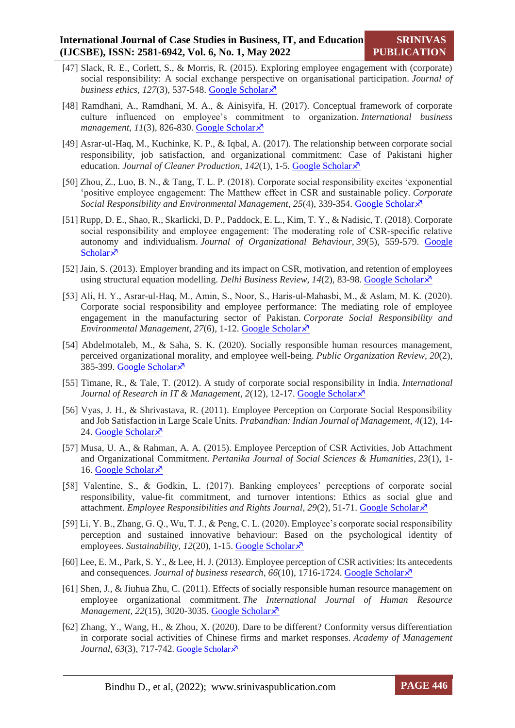- [47] Slack, R. E., Corlett, S., & Morris, R. (2015). Exploring employee engagement with (corporate) social responsibility: A social exchange perspective on organisational participation. *Journal of business ethics*, 127(3), 537-548. [Google Scholar](https://scholar.google.co.in/scholar?hl=en&as_sdt=0%2C5&q=Slack%2C+R.+E.%2C+Corlett%2C+S.%2C+%26+Morris%2C+R.+%282015%29.+Exploring+employee+engagement+with+%28corporate%29+social+responsibility%3A+A+social+exchange+perspective+on+organisational+participation.+Journal+of+business+ethics%2C+127%283%29%2C+537-548.&btnG=)  $\lambda$
- [48] Ramdhani, A., Ramdhani, M. A., & Ainisyifa, H. (2017). Conceptual framework of corporate culture influenced on employee's commitment to organization. *International business management*, *11*(3), 826-830. [Google Scholar](https://scholar.google.co.in/scholar?hl=en&as_sdt=0%2C5&q=Ramdhani%2C+A.%2C+Ramdhani%2C+M.+A.%2C+%26+Ainisyifa%2C+H.+%282017%29.+Conceptual+framework+of+corporate+culture+influenced+on+employee%E2%80%99s+commitment+to+organization.+International+business+management%2C+11%283%29%2C+826-830.&btnG=)
- [49] Asrar-ul-Haq, M., Kuchinke, K. P., & Iqbal, A. (2017). The relationship between corporate social responsibility, job satisfaction, and organizational commitment: Case of Pakistani higher education. *Journal of Cleaner Production*, *142*(1), 1-5. [Google Scholar](https://scholar.google.co.in/scholar?hl=en&as_sdt=0%2C5&q=Asrar-ul-Haq%2C+M.%2C+Kuchinke%2C+K.+P.%2C+%26+Iqbal%2C+A.+%282017%29.+The+relationship+between+corporate+social+responsibility%2C+job+satisfaction%2C+and+organizational+commitment%3A+Case+of+Pakistani+higher+education.+Journal+of+Cleaner+Production%2C+142%2C+1-5.&btnG=)
- [50] Zhou, Z., Luo, B. N., & Tang, T. L. P. (2018). Corporate social responsibility excites 'exponential 'positive employee engagement: The Matthew effect in CSR and sustainable policy. *Corporate Social Responsibility and Environmental Management*, *25*(4), 339-354. [Google Scholar](https://scholar.google.co.in/scholar?hl=en&as_sdt=0%2C5&q=Zhou%2C+Z.%2C+Luo%2C+B.+N.%2C+%26+Tang%2C+T.+L.+P.+%282018%29.+Corporate+social+responsibility+excites+%E2%80%98exponential+%E2%80%98positive+employee+engagement%3A+The+Matthew+effect+in+CSR+and+sustainable+policy.+Corporate+Social+Responsibility+and+Environmental+Management%2C+25%284%29%2C+339-354.&btnG=)
- [51] Rupp, D. E., Shao, R., Skarlicki, D. P., Paddock, E. L., Kim, T. Y., & Nadisic, T. (2018). Corporate social responsibility and employee engagement: The moderating role of CSR‐specific relative autonomy and individualism. *Journal of Organizational Behaviour*, *39*(5), 559-579. [Google](https://scholar.google.co.in/scholar?hl=en&as_sdt=0%2C5&q=Rupp%2C+D.+E.%2C+Shao%2C+R.%2C+Skarlicki%2C+D.+P.%2C+Paddock%2C+E.+L.%2C+Kim%2C+T.+Y.%2C+%26+Nadisic%2C+T.+%282018%29.+Corporate+social+responsibility+and+employee+engagement%3A+The+moderating+role+of+CSR%E2%80%90specific+relative+autonomy+and+individualism.+Journal+of+Organizational+Behaviour%2C+39%285%29%2C+559-579.&btnG=)  [Scholar](https://scholar.google.co.in/scholar?hl=en&as_sdt=0%2C5&q=Rupp%2C+D.+E.%2C+Shao%2C+R.%2C+Skarlicki%2C+D.+P.%2C+Paddock%2C+E.+L.%2C+Kim%2C+T.+Y.%2C+%26+Nadisic%2C+T.+%282018%29.+Corporate+social+responsibility+and+employee+engagement%3A+The+moderating+role+of+CSR%E2%80%90specific+relative+autonomy+and+individualism.+Journal+of+Organizational+Behaviour%2C+39%285%29%2C+559-579.&btnG=) $\lambda$
- [52] Jain, S. (2013). Employer branding and its impact on CSR, motivation, and retention of employees using structural equation modelling. *Delhi Business Review*, 14(2), 83-98. [Google Scholar](https://www.researchgate.net/profile/Sonal-Jain-16/publication/333001512_Employer_Branding_and_its_Impact_on_CSR_Motivation_and_Retention_of_Employees_using_Structural_Equation_Modelling/links/5cd595bb458515712ea28934/Employer-Branding-and-its-Impact-on-CSR-Motivation-and-Retention-of-Employees-using-Structural-Equation-Modelling.pdf)  $\lambda$ <sup>3</sup>
- [53] Ali, H. Y., Asrar‐ul‐Haq, M., Amin, S., Noor, S., Haris‐ul‐Mahasbi, M., & Aslam, M. K. (2020). Corporate social responsibility and employee performance: The mediating role of employee engagement in the manufacturing sector of Pakistan. *Corporate Social Responsibility and Environmental Management*, *27*(6), 1-12. [Google Scholar](https://scholar.google.co.in/scholar?hl=en&as_sdt=0%2C5&q=Ali%2C+H.+Y.%2C+Asrar%E2%80%90ul%E2%80%90Haq%2C+M.%2C+Amin%2C+S.%2C+Noor%2C+S.%2C+Haris%E2%80%90ul%E2%80%90Mahasbi%2C+M.%2C+%26+Aslam%2C+M.+K.+%282020%29.+Corporate+social+responsibility+and+employee+performance%3A+The+mediating+role+of+employee+engagement+in+the+manufacturing+sector+of+Pakistan.+Corporate+Social+Responsibility+and+Environmental+Management%2C+27%286%29%2C+1-12.&btnG=)
- [54] Abdelmotaleb, M., & Saha, S. K. (2020). Socially responsible human resources management, perceived organizational morality, and employee well-being. *Public Organization Review*, *20*(2), 385-399. [Google Scholar](https://scholar.google.co.in/scholar?hl=en&as_sdt=0%2C5&q=Abdelmotaleb%2C+M.%2C+%26+Saha%2C+S.+K.+%282020%29.+Socially+responsible+human+resources+management%2C+perceived+organizational+morality%2C+and+employee+well-being.+Public+Organization+Review%2C+20%282%29%2C+385-399.&btnG=) ×
- [55] Timane, R., & Tale, T. (2012). A study of corporate social responsibility in India. *International Journal of Research in IT & Management, 2(12), 12-17. [Google Scholar](file:///C:/Users/DELL/Downloads/Timane,%20R.,%20&%20Tale,%20T.%20(2012).%20A%20study%20of%20corporate%20social%20responsibility%20in%20India.%20International%20Journal%20of%20Research%20in%20IT%20&%20Management,%202(12))* $\lambda$
- [56] Vyas, J. H., & Shrivastava, R. (2011). Employee Perception on Corporate Social Responsibility and Job Satisfaction in Large Scale Units. *Prabandhan: Indian Journal of Management*, *4*(12), 14- 24. [Google Scholar](file:///C:/Users/DELL/Downloads/cholar.google.co.in/scholar) $\lambda$
- [57] Musa, U. A., & Rahman, A. A. (2015). Employee Perception of CSR Activities, Job Attachment and Organizational Commitment. *Pertanika Journal of Social Sciences & Humanities*, *23*(1), 1- 16. [Google Scholar](https://scholar.google.co.in/scholar?hl=en&as_sdt=0%2C5&q=Musa%2C+U.+A.%2C+%26+Rahman%2C+A.+A.+%282015%29.+Employee+Perception+of+CSR+Activities%2C+Job+Attachment+and+Organizational+Commitment.+Pertanika+Journal+of+Social+Sciences+%26+Humanities%2C+23%281%29%2C+1-16.&btnG=) $\lambda$
- [58] Valentine, S., & Godkin, L. (2017). Banking employees' perceptions of corporate social responsibility, value-fit commitment, and turnover intentions: Ethics as social glue and attachment. *Employee Responsibilities and Rights Journal*, *29*(2), 51-71. [Google Scholar](https://scholar.google.co.in/scholar?hl=en&as_sdt=0%2C5&q=Valentine%2C+S.%2C+%26+Godkin%2C+L.+%282017%29.+Banking+employees%E2%80%99+perceptions+of+corporate+social+responsibility%2C+value-fit+commitment%2C+and+turnover+intentions%3A+Ethics+as+social+glue+and+attachment.+Employee+Responsibilities+and+Rights+Journal%2C+29%282%29%2C+51-71.&btnG=)
- [59] Li, Y. B., Zhang, G. Q., Wu, T. J., & Peng, C. L. (2020). Employee's corporate social responsibility perception and sustained innovative behaviour: Based on the psychological identity of employees. *Sustainability*, 12(20), 1-15. [Google Scholar](https://scholar.google.co.in/scholar?hl=en&as_sdt=0%2C5&q=Li%2C+Y.+B.%2C+Zhang%2C+G.+Q.%2C+Wu%2C+T.+J.%2C+%26+Peng%2C+C.+L.+%282020%29.+Employee%E2%80%99s+corporate+social+responsibility+perception+and+sustained+innovative+behaviour%3A+Based+on+the+psychological+identity+of+employees.+Sustainability%2C+12%2820%29%2C+1-15.&btnG=)  $\lambda$
- [60] Lee, E. M., Park, S. Y., & Lee, H. J. (2013). Employee perception of CSR activities: Its antecedents and consequences. *Journal of business research*, *66*(10), 1716-1724. [Google Scholar](https://scholar.google.co.in/scholar?hl=en&as_sdt=0%2C5&q=Lee%2C+E.+M.%2C+Park%2C+S.+Y.%2C+%26+Lee%2C+H.+J.+%282013%29.+Employee+perception+of+CSR+activities%3A+Its+antecedents+and+consequences.+Journal+of+business+research%2C+66%2810%29%2C+1716-1724.&btnG=)
- [61] Shen, J., & Jiuhua Zhu, C. (2011). Effects of socially responsible human resource management on employee organizational commitment. *The International Journal of Human Resource Management*, 22(15), 3020-3035. [Google Scholar](https://scholar.google.co.in/scholar?hl=en&as_sdt=0%2C5&q=Shen%2C+J.%2C+%26+Jiuhua+Zhu%2C+C.+%282011%29.+Effects+of+socially+responsible+human+resource+management+on+employee+organizational+commitment.+The+International+Journal+of+Human+Resource+Management%2C+22%2815%29%2C+3020-3035.&btnG=)  $\lambda$ <sup>3</sup>
- [62] Zhang, Y., Wang, H., & Zhou, X. (2020). Dare to be different? Conformity versus differentiation in corporate social activities of Chinese firms and market responses. *Academy of Management Journal*, 63(3), 717-742. [Google Scholar](https://ink.library.smu.edu.sg/cgi/viewcontent.cgi?article=7494&context=lkcsb_research)  $\lambda$

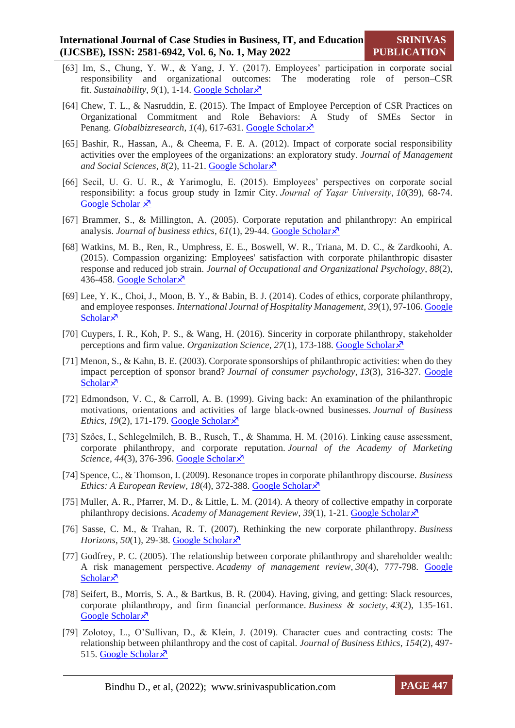- [63] Im, S., Chung, Y. W., & Yang, J. Y. (2017). Employees' participation in corporate social responsibility and organizational outcomes: The moderating role of person–CSR fit. *Sustainability*, *9*(1), 1-14. [Google Scholar](https://scholar.google.co.in/scholar?hl=en&as_sdt=0%2C5&q=Im%2C+S.%2C+Chung%2C+Y.+W.%2C+%26+Yang%2C+J.+Y.+%282017%29.+Employees%E2%80%99+participation+in+corporate+social+responsibility+and+organizational+outcomes%3A+The+moderating+role+of+person%E2%80%93CSR+fit.+Sustainability%2C+9%281%29%2C+28.&btnG=)
- [64] Chew, T. L., & Nasruddin, E. (2015). The Impact of Employee Perception of CSR Practices on Organizational Commitment and Role Behaviors: A Study of SMEs Sector in Penang. *Globalbizresearch*, *1*(4), 617-631. [Google Scholar](https://scholar.google.co.in/scholar?hl=en&as_sdt=0%2C5&q=Chew%2C+T.+L.%2C+%26+Nasruddin%2C+E.+%282015%29.+The+Impact+of+Employee+Perception+of+CSR+Practices+on+Organizational+Commitment+and+Role+Behaviors%3A+A+Study+of+SMEs+Sector+in+Penang.+Globalbizresearch%2C+1%284%29%2C+617-631.&btnG=)  $\lambda$
- [65] Bashir, R., Hassan, A., & Cheema, F. E. A. (2012). Impact of corporate social responsibility activities over the employees of the organizations: an exploratory study. *Journal of Management and Social Sciences*, *8*(2), 11-21. [Google Scholar](https://scholar.google.co.in/scholar?hl=en&as_sdt=0%2C5&q=Bashir%2C+R.%2C+Hassan%2C+A.%2C+%26+Cheema%2C+F.+E.+A.+%282012%29.+Impact+of+corporate+social+responsibility+activities+over+the+employees+of+the+organizations%3A+an+exploratory+study.+Journal+of+Management+and+Social+Sciences%2C+8%282%29%2C+11-21.&btnG=)
- [66] Secil, U. G. U. R., & Yarimoglu, E. (2015). Employees' perspectives on corporate social responsibility: a focus group study in Izmir City. *Journal of Yaşar University*, *10*(39), 68-74. [Google Scholar](https://dergipark.org.tr/en/download/article-file/179564)  $\lambda$
- [67] Brammer, S., & Millington, A. (2005). Corporate reputation and philanthropy: An empirical analysis. *Journal of business ethics*,  $61(1)$ , 29-44. [Google Scholar](https://www.researchgate.net/profile/Stephen-Brammer-3/publication/225675639_Corporate_Reputation_and_Philanthropy_An_Empirical_Analysis/links/548e9c450cf2d1800d843052/Corporate-Reputation-and-Philanthropy-An-Empirical-Analysis.pdf) $\times$
- [68] Watkins, M. B., Ren, R., Umphress, E. E., Boswell, W. R., Triana, M. D. C., & Zardkoohi, A. (2015). Compassion organizing: Employees' satisfaction with corporate philanthropic disaster response and reduced job strain. *Journal of Occupational and Organizational Psychology*, *88*(2), 436-458. [Google Scholar](file:///C:/Users/DELL/Downloads/Watkins,%20M.%20B.,%20Ren,%20R.,%20Umphress,%20E.%20E.,%20Boswell,%20W.%20R.,%20Triana,%20M.%20D.%20C.,%20&%20Zardkoohi,%20A.%20(2015).%20Compassion%20organizing:%20Employees) ×
- [69] Lee, Y. K., Choi, J., Moon, B. Y., & Babin, B. J. (2014). Codes of ethics, corporate philanthropy, and employee responses. *International Journal of Hospitality Management*, *39*(1), 97-106. [Google](https://scholar.google.co.in/scholar?hl=en&as_sdt=0%2C5&q=Lee%2C+Y.+K.%2C+Choi%2C+J.%2C+Moon%2C+B.+Y.%2C+%26+Babin%2C+B.+J.+%282014%29.+Codes+of+ethics%2C+corporate+philanthropy%2C+and+employee+responses.+International+Journal+of+Hospitality+)  [Scholar](https://scholar.google.co.in/scholar?hl=en&as_sdt=0%2C5&q=Lee%2C+Y.+K.%2C+Choi%2C+J.%2C+Moon%2C+B.+Y.%2C+%26+Babin%2C+B.+J.+%282014%29.+Codes+of+ethics%2C+corporate+philanthropy%2C+and+employee+responses.+International+Journal+of+Hospitality+) $\lambda$
- [70] Cuypers, I. R., Koh, P. S., & Wang, H. (2016). Sincerity in corporate philanthropy, stakeholder perceptions and firm value. *Organization Science*, *27*(1), 173-188. [Google Scholar](https://scholar.google.co.in/scholar?hl=en&as_sdt=0%2C5&q=Cuypers%2C+I.+R.%2C+Koh%2C+P.+S.%2C+%26+Wang%2C+H.+%282016%29.+Sincerity+in+corporate+philanthropy%2C+stakeholder+perceptions+and+firm+value.+Organization+Science%2C+27%281%29%2C+173-188.&btnG=)
- [71] Menon, S., & Kahn, B. E. (2003). Corporate sponsorships of philanthropic activities: when do they impact perception of sponsor brand? *Journal of consumer psychology*, *13*(3), 316-327. [Google](https://www.sciencedirect.com/science/article/abs/pii/S1057740803702009)  [Scholar](https://www.sciencedirect.com/science/article/abs/pii/S1057740803702009)<sup> $\lambda$ </sup>
- [72] Edmondson, V. C., & Carroll, A. B. (1999). Giving back: An examination of the philanthropic motivations, orientations and activities of large black-owned businesses. *Journal of Business Ethics*, *19*(2), 171-179. [Google Scholar](https://www.researchgate.net/profile/Archie-Carroll/publication/309097772_Giving_Back_An_Examination_of_the_Philanthropic_Motivations_Orientations_and_Activities_of_the_Nation)  $\lambda$
- [73] Szőcs, I., Schlegelmilch, B. B., Rusch, T., & Shamma, H. M. (2016). Linking cause assessment, corporate philanthropy, and corporate reputation. *Journal of the Academy of Marketing Science*, *44*(3), 376-396. [Google Scholar](https://scholar.google.co.in/scholar?hl=en&as_sdt=0%2C5&q=Sz%C5%91cs%2C+I.%2C+Schlegelmilch%2C+B.+B.%2C+Rusch%2C+T.%2C+%26+Shamma%2C+H.+M.+%282016%29.+Linking+cause+assessment%2C+corporate+philanthropy%2C+and+corporate+reputation.+Journal+of+the+Academy+of+Marketing+Science%2C+44%283%29%2C+376-396.&btnG=)
- [74] Spence, C., & Thomson, I. (2009). Resonance tropes in corporate philanthropy discourse. *Business Ethics: A European Review, 18(4), 372-388. [Google Scholar](https://scholar.google.co.in/scholar?hl=en&as_sdt=0%2C5&q=Spence%2C+C.%2C+%26+Thomson%2C+I.+%282009%29.+Resonance+tropes+in+corporate+philanthropy+discourse.+Business+Ethics%3A+A+European+Review%2C+18%284%29%2C+372-388.&btnG=)*
- [75] Muller, A. R., Pfarrer, M. D., & Little, L. M. (2014). A theory of collective empathy in corporate philanthropy decisions. *Academy of Management Review*, 39(1), 1-21. [Google Scholar](https://scholar.google.co.in/scholar?hl=en&as_sdt=0%2C5&q=Muller%2C+A.+R.%2C+Pfarrer%2C+M.+D.%2C+%26+Little%2C+L.+M.+%282014%29.+A+theory+of+collective+empathy+in+corporate+philanthropy+decisions.+Academy+of+Management+Review%2C+39%281%29%2C+1-21.&btnG=) $\lambda$
- [76] Sasse, C. M., & Trahan, R. T. (2007). Rethinking the new corporate philanthropy. *Business Horizons*, 50(1), 29-38. [Google Scholar](https://scholar.google.co.in/scholar?hl=en&as_sdt=0%2C5&q=Sasse%2C+C.+M.%2C+%26+Trahan%2C+R.+T.+%282007%29.+Rethinking+the+new+corporate+philanthropy.+Business+Horizons%2C+50%281%29%2C+29-38.&btnG=) $\lambda$
- [77] Godfrey, P. C. (2005). The relationship between corporate philanthropy and shareholder wealth: A risk management perspective. *Academy of management review*, *30*(4), 777-798. [Google](https://scholar.google.com/scholar?hl=en&as_sdt=0%2C5&q=Godfrey%2C+P.+C.+%282005%29.+The+relationship+between+corporate+philanthropy+and+shareholder+wealth%3A+A+risk+management+perspective.+Academy+of+management+review%2C+30%284%29%2C+777-798.&btnG=)   $Scholar\lambda$  $Scholar\lambda$
- [78] Seifert, B., Morris, S. A., & Bartkus, B. R. (2004). Having, giving, and getting: Slack resources, corporate philanthropy, and firm financial performance. *Business & society*, *43*(2), 135-161. [Google Scholar](https://scholar.google.com/scholar?hl=en&as_sdt=0%2C5&q=Seifert%2C+B.%2C+Morris%2C+S.+A.%2C+%26+Bartkus%2C+B.+R.+%282004%29.+Having%2C+giving%2C+and+getting%3A+Slack+resources%2C+corporate+philanthropy%2C+and+firm+financial+performance.+Business+%26+society%2C+43%282%29%2C+135-161.&btnG=) ×
- [79] Zolotoy, L., O'Sullivan, D., & Klein, J. (2019). Character cues and contracting costs: The relationship between philanthropy and the cost of capital. *Journal of Business Ethics*, *154*(2), 497- 515. [Google Scholar](https://scholar.google.com/scholar?hl=en&as_sdt=0%2C5&q=Zolotoy%2C+L.%2C+O%E2%80%99Sullivan%2C+D.%2C+%26+Klein%2C+J.+%282019%29.+Character+cues+and+contracting+costs%3A+The+relationship+between+philanthropy+and+the+cost+of+capital.+Journal+of+Business+Ethics%2C+154%282%29%2C+497-515.&btnG=) $\lambda$

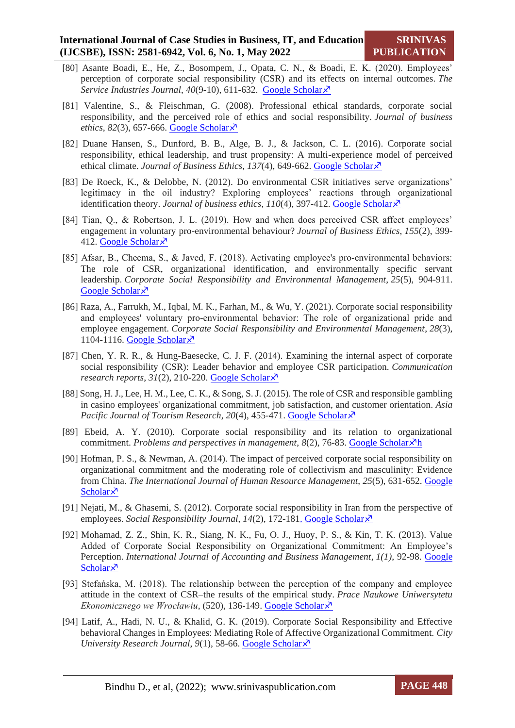- [80] Asante Boadi, E., He, Z., Bosompem, J., Opata, C. N., & Boadi, E. K. (2020). Employees' perception of corporate social responsibility (CSR) and its effects on internal outcomes. *The Service Industries Journal*, *40*(9-10), 611-632. [Google Scholar](https://scholar.google.com/scholar?hl=en&as_sdt=0%2C5&q=Asante+Boadi%2C+E.%2C+He%2C+Z.%2C+Bosompem%2C+J.%2C+Opata%2C+C.+N.%2C+%26+Boadi%2C+E.+K.+%282020%29.+Employees%E2%80%99+perception+of+corporate+social+responsibility+%28CSR%29+and+its+effects+on+internal+outcomes.+The+Service+Industries+Journal%2C+40%289-10%29%2C+611-632.&btnG=)
- [81] Valentine, S., & Fleischman, G. (2008). Professional ethical standards, corporate social responsibility, and the perceived role of ethics and social responsibility. *Journal of business ethics*,  $82(3)$ ,  $657-666$ . [Google Scholar](https://scholar.google.com/scholar?hl=en&as_sdt=0%2C5&q=Valentine%2C+S.%2C+%26+Fleischman%2C+G.+%282008%29.+Professional+ethical+standards%2C+corporate+social+responsibility%2C+and+the+perceived+role+of+ethics+and+social+responsibility.+Journal+of+business+ethics%2C+82%283%29%2C+657-666.&btnG=) $\overline{x}$
- [82] Duane Hansen, S., Dunford, B. B., Alge, B. J., & Jackson, C. L. (2016). Corporate social responsibility, ethical leadership, and trust propensity: A multi-experience model of perceived ethical climate. *Journal of Business Ethics*, 137(4), 649-662[. Google Scholar](https://scholar.google.com/scholar?hl=en&as_sdt=0%2C5&q=Duane+Hansen%2C+S.%2C+Dunford%2C+B.+B.%2C+Alge%2C+B.+J.%2C+%26+Jackson%2C+C.+L.+%282016%29.+Corporate+social+responsibility%2C+ethical+leadership%2C+and+trust+propensity%3A+A+multi-experience+model+of+perceived+ethical+climate.+Journal+of+Business+Ethics%2C+137%284%29%2C+649-662.&btnG=) $\times$
- [83] De Roeck, K., & Delobbe, N. (2012). Do environmental CSR initiatives serve organizations' legitimacy in the oil industry? Exploring employees' reactions through organizational identification theory. *Journal of business ethics*,  $110(4)$ , 397-412[. Google Scholar](https://scholar.google.com/scholar?hl=en&as_sdt=0%2C5&q=De+Roeck%2C+K.%2C+%26+Delobbe%2C+N.+%282012%29.+Do+environmental+CSR+initiatives+serve+organizations%E2%80%99+legitimacy+in+the+oil+industry%3F+Exploring+employees%E2%80%99+reactions+through+organizational+identification+theory.+Journal+of+business+ethics%2C+110%284%29%2C+397-412.&btnG=) $\lambda$ <sup>3</sup>
- [84] Tian, Q., & Robertson, J. L. (2019). How and when does perceived CSR affect employees' engagement in voluntary pro-environmental behaviour? *Journal of Business Ethics*, *155*(2), 399- 412. [Google Scholar](https://scholar.google.com/scholar?hl=en&as_sdt=0%2C5&q=Tian%2C+Q.%2C+%26+Robertson%2C+J.+L.+%282019%29.+How+and+when+does+perceived+CSR+affect+employees%E2%80%99+engagement+in+voluntary+pro-environmental+behaviour%3F+Journal+of+Business+Ethics%2C+155%282%29%2C+399-412.&btnG=) $\lambda$
- [85] Afsar, B., Cheema, S., & Javed, F. (2018). Activating employee's pro-environmental behaviors: The role of CSR, organizational identification, and environmentally specific servant leadership. *Corporate Social Responsibility and Environmental Management*, *25*(5), 904-911. [Google Scholar](https://scholar.google.com/scholar?hl=en&as_sdt=0%2C5&q=Afsar%2C+B.%2C+Cheema%2C+S.%2C+%26+Javed%2C+F.+%282018%29.+Activating+employee%27s+pro%E2%80%90environmental+behaviors%3A+The+role+of+CSR%2C+organizational+identification%2C+and+environmentally+specific+servant+leadership.+Corporate+Social+Responsibility+and+Environmental+Management%2C+25%285%29%2C+904-911.&btnG=) ×
- [86] Raza, A., Farrukh, M., Iqbal, M. K., Farhan, M., & Wu, Y. (2021). Corporate social responsibility and employees' voluntary pro‐environmental behavior: The role of organizational pride and employee engagement. *Corporate Social Responsibility and Environmental Management*, *28*(3), 1104-1116. [Google Scholar](https://scholar.google.com/scholar?hl=en&as_sdt=0%2C5&q=Raza%2C+A.%2C+Farrukh%2C+M.%2C+Iqbal%2C+M.+K.%2C+Farhan%2C+M.%2C+%26+Wu%2C+Y.+%282021%29.+Corporate+social+responsibility+and+employees%27+voluntary+pro%E2%80%90environmental+behavior%3A+The+role+of+organizational+pride+and+employee+engagement.+Corporate+Social+Responsibility+and+Environmental+Management%2C+28%283%29%2C+1104-1116.&btnG=) $\lambda$
- [87] Chen, Y. R. R., & Hung-Baesecke, C. J. F. (2014). Examining the internal aspect of corporate social responsibility (CSR): Leader behavior and employee CSR participation. *Communication research reports*, *31*(2), 210-220. [Google Scholar](https://scholar.google.com/scholar?hl=en&as_sdt=0%2C5&q=Chen%2C+Y.+R.+R.%2C+%26+Hung-Baesecke%2C+C.+J.+F.+%282014%29.+Examining+the+internal+aspect+of+corporate+social+responsibility+%28CSR%29%3A+Leader+behavior+and+employee+CSR+participation.+Communication+research+reports%2C+31%282%29%2C+210-220.&btnG=)
- [88] Song, H. J., Lee, H. M., Lee, C. K., & Song, S. J. (2015). The role of CSR and responsible gambling in casino employees' organizational commitment, job satisfaction, and customer orientation. *Asia Pacific Journal of Tourism Research, 20(4), 455-471. [Google Scholar](https://scholar.google.com/scholar?hl=en&as_sdt=0%2C5&q=Song%2C+H.+J.%2C+Lee%2C+H.+M.%2C+Lee%2C+C.+K.%2C+%26+Song%2C+S.+J.+%282015%29.+The+role+of+CSR+and+responsible+gambling+in+casino+employees%27+organizational+commitment%2C+job+satisfaction%2C+and+customer+orientation.+Asia+Pacific+Journal+of+Tourism+Research%2C+20%284%29%2C+455-471.&btnG=)* $\lambda$
- [89] Ebeid, A. Y. (2010). Corporate social responsibility and its relation to organizational commitment. *Problems and perspectives in management*,  $8(2)$ ,  $76-83$ . [Google Scholar](https://scholar.google.com/scholar?hl=en&as_sdt=0%2C5&q=Ebeid%2C+A.+Y.+%282010%29.+Corporate+social+responsibility+and+its+relation+to+organizational+commitment.+Problems+and+perspectives+in+management%2C+8%282%29%2C+76-83.&btnG=) $\chi^2$ h
- [90] Hofman, P. S., & Newman, A. (2014). The impact of perceived corporate social responsibility on organizational commitment and the moderating role of collectivism and masculinity: Evidence from China. *The International Journal of Human Resource Management*, *25*(5), 631-652. [Google](https://scholar.google.com/scholar?hl=en&as_sdt=0%2C5&q=Hofman%2C+P.+S.%2C+%26+Newman%2C+A.+%282014%29.+The+impact+of+perceived+corporate+social+responsibility+on+organizational+commitment+and+the+moderating+role+of+collectivism+and+masculinity%3A+Evidence+from+China.+The+International+Journal+of+Human+Resource+Management%2C+25%285%29%2C+631-652.&btnG=)  [Scholar](https://scholar.google.com/scholar?hl=en&as_sdt=0%2C5&q=Hofman%2C+P.+S.%2C+%26+Newman%2C+A.+%282014%29.+The+impact+of+perceived+corporate+social+responsibility+on+organizational+commitment+and+the+moderating+role+of+collectivism+and+masculinity%3A+Evidence+from+China.+The+International+Journal+of+Human+Resource+Management%2C+25%285%29%2C+631-652.&btnG=) $\times$
- [91] Nejati, M., & Ghasemi, S. (2012). Corporate social responsibility in Iran from the perspective of employees. *Social Responsibility Journal, 14(2), 172-181*. [Google Scholar](https://d1wqtxts1xzle7.cloudfront.net/33202191/Nejati___Ghasemi__2012-with-cover-page-v2.pdf?Expires=1650911396&Signature=OYpzWDDv4VVTEGbZAB7EdR9tXZc3s28f8KWAOyvVSHKMoKVncEaB~A43jAKG7J4MlidLM1wwwcrNC2AXaT6H4kif7GvxAZKt69CoWl~b8Ep-sAYb4eQI~yCk7oeA2ssypVjwJ6Z-zzoYdJ4F4sHXoRxzAaxrmIrqQxp~R7NfpQ8GNyDWCn5-IpHfkyKDdPM06uYWnE9wZSY6lLTj3Nym71SZKcbX2he9A~GZ0V6OUvRCPe8yYiEvEkh-9IJaTxqZeOXXgvB4h4Y4WN-IzB3ZCCpfysbNLm64hYjRDUT25erTipG4oBj0PDFaN2fRhNbqhNPNe9d7fPknRFtYsSfFWw__&Key-Pair-Id=APKAJLOHF5GGSLRBV4ZA) $\lambda$ <sup>7</sup>
- [92] Mohamad, Z. Z., Shin, K. R., Siang, N. K., Fu, O. J., Huoy, P. S., & Kin, T. K. (2013). Value Added of Corporate Social Responsibility on Organizational Commitment: An Employee's Perception. *International Journal of Accounting and Business Management*, *1(1)*, 92-98. [Google](https://scholar.google.com/scholar?hl=en&as_sdt=0%2C5&q=Mohamad%2C+Z.+Z.%2C+Shin%2C+K.+R.%2C+Siang%2C+N.+K.%2C+Fu%2C+O.+J.%2C+Huoy%2C+P.+S.%2C+%26+Kin%2C+T.+K.+%282013%29.+Value+Added+of+Corporate+Social+Responsibility+on+Organizational+Commitment%3A+An+Employee%E2%80%99s+Perception.+International+Journal+of+Accounting+and+Business+Management%2C+1%2C+92-98.&btnG=)  [Scholar](https://scholar.google.com/scholar?hl=en&as_sdt=0%2C5&q=Mohamad%2C+Z.+Z.%2C+Shin%2C+K.+R.%2C+Siang%2C+N.+K.%2C+Fu%2C+O.+J.%2C+Huoy%2C+P.+S.%2C+%26+Kin%2C+T.+K.+%282013%29.+Value+Added+of+Corporate+Social+Responsibility+on+Organizational+Commitment%3A+An+Employee%E2%80%99s+Perception.+International+Journal+of+Accounting+and+Business+Management%2C+1%2C+92-98.&btnG=) $\lambda$
- [93] Stefańska, M. (2018). The relationship between the perception of the company and employee attitude in the context of CSR–the results of the empirical study. *Prace Naukowe Uniwersytetu Ekonomicznego we Wrocławiu*, (520), 136-149. [Google Scholar](file:///C:/Users/DELL/Downloads/The_relationship_between_the_percep.pdf) $\lambda$
- [94] Latif, A., Hadi, N. U., & Khalid, G. K. (2019). Corporate Social Responsibility and Effective behavioral Changes in Employees: Mediating Role of Affective Organizational Commitment. *City University Research Journal*, 9(1), 58-66. [Google Scholar](https://scholar.google.com/scholar?hl=en&as_sdt=0%2C5&q=Latif%2C+A.%2C+Hadi%2C+N.+U.%2C+%26+Khalid%2C+G.+K.+%282019%29.+Corporate+Social+Responsibility+and+Effective+behavioral+Changes+in+Employees%3A+Mediating+Role+of+Affective+Organizational+Commitment.+City+University+Research+Journal%2C+9%2C+58-66.&btnG=) $\chi$ <sup>7</sup>

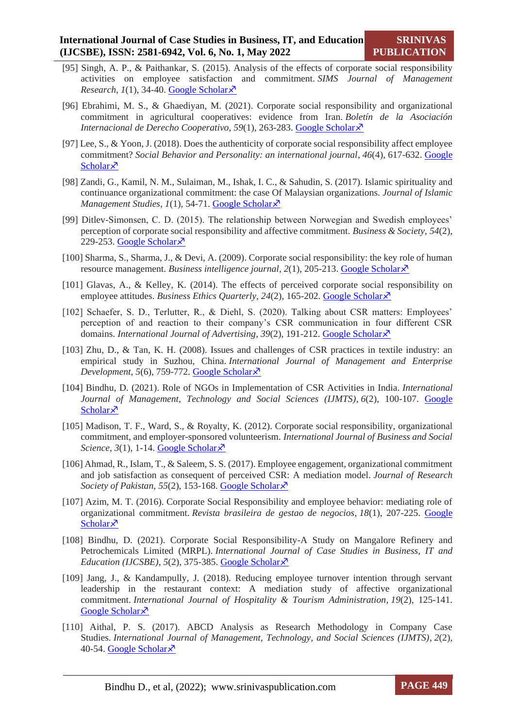- [95] Singh, A. P., & Paithankar, S. (2015). Analysis of the effects of corporate social responsibility activities on employee satisfaction and commitment. *SIMS Journal of Management Research*,  $1(1)$ , 34-40[. Google Scholar](https://scholar.google.com/scholar?hl=en&as_sdt=0%2C5&q=Singh%2C+A.+P.%2C+%26+Paithankar%2C+S.+%282015%29.+Analysis+of+the+effects+of+corporate+social+responsibility+activities+on+employee+satisfaction+and+commitment.+SIMS+Journal+of+Management+Research%2C+1%281%29%2C+34-40.&btnG=) $\lambda$
- [96] Ebrahimi, M. S., & Ghaediyan, M. (2021). Corporate social responsibility and organizational commitment in agricultural cooperatives: evidence from Iran. *Boletín de la Asociación Internacional de Derecho Cooperativo*, *59*(1), 263-283. [Google Scholar](https://scholar.google.com/scholar?hl=en&as_sdt=0%2C5&q=Ebrahimi%2C+M.+S.%2C+%26+Ghaediyan%2C+M.+%282021%29.+Corporate+social+responsibility+and+organizational+commitment+in+agricultural+cooperatives%3A+evidence+from+Iran.+Bolet%C3%ADn+de+la+Asociaci%C3%B3n+Internacional+de+Derecho+Cooperativo%2C+%2859%29%2C+263-283.&btnG=)
- [97] Lee, S., & Yoon, J. (2018). Does the authenticity of corporate social responsibility affect employee commitment? *Social Behavior and Personality: an international journal*, *46*(4), 617-632. [Google](https://scholar.google.com/scholar?hl=en&as_sdt=0%2C5&q=Lee%2C+S.%2C+%26+Yoon%2C+J.+%282018%29.+Does+the+authenticity+of+corporate+social+responsibility+affect+employee+commitment%3F+Social+Behavior+and+Personality%3A+an+international+journal%2C+46%284%29%2C+617-632.&btnG=)  [Scholar](https://scholar.google.com/scholar?hl=en&as_sdt=0%2C5&q=Lee%2C+S.%2C+%26+Yoon%2C+J.+%282018%29.+Does+the+authenticity+of+corporate+social+responsibility+affect+employee+commitment%3F+Social+Behavior+and+Personality%3A+an+international+journal%2C+46%284%29%2C+617-632.&btnG=) $\lambda$
- [98] Zandi, G., Kamil, N. M., Sulaiman, M., Ishak, I. C., & Sahudin, S. (2017). Islamic spirituality and continuance organizational commitment: the case Of Malaysian organizations. *Journal of Islamic Management Studies, 1(1), 54-71[. Google Scholar](https://scholar.google.com/scholar?hl=en&as_sdt=0%2C5&q=Zandi%2C+G.%2C+Kamil%2C+N.+M.%2C+Sulaiman%2C+M.%2C+Ishak%2C+I.+C.%2C+%26+Sahudin%2C+S.+%282017%29.+Islamic+spirituality+and+continuance+organizational+commitment%3A+the+case+Of+Malaysian+organizations.+Journal+of+Islamic+Management+Studies%2C+1%281%29%2C+54-71.&btnG=)* $\lambda$
- [99] Ditlev-Simonsen, C. D. (2015). The relationship between Norwegian and Swedish employees' perception of corporate social responsibility and affective commitment. *Business & Society*, *54*(2), 229-253. [Google Scholar](https://scholar.google.com/scholar?hl=en&as_sdt=0%2C5&q=Ditlev-Simonsen%2C+C.+D.+%282015%29.+The+relationship+between+Norwegian+and+Swedish+employees%E2%80%99+perception+of+corporate+social+responsibility+and+affective+commitment.+Business+%26+Society%2C+54%282%29%2C+229-253.&btnG=)s
- [100] Sharma, S., Sharma, J., & Devi, A. (2009). Corporate social responsibility: the key role of human resource management. *Business intelligence journal*, 2(1), 205-213. [Google Scholar](https://www.csrsa.net/sites/default/files/%D8%A7%D9%84%D9%85%D8%B3%D8%A4%D9%88%D9%84%D9%8A%D8%A9%20%D8%A7%D9%84%D8%A7%D8%AC%D8%AA%D9%85%D8%A7%D8%B9%D9%8A%D8%A9%20%D9%84%D9%84%D8%B4%D8%B1%D9%83%D8%A7%D8%AA%20%D8%A7%D9%84%D8%AF%D9%88%D8%B1%20%D8%A7%D9%84%D8%B1%D8%A6%D9%8A%D8%B3%D9%8A%20%D9%84%D9%84%D9%85%D9%88%D8%A7%D8%B1%D8%AF%20%D8%A7%D9%84%D8%A8%D8%B4%D8%B1%D9%8A%D8%A9.pdf)  $\overline{X}$
- [101] Glavas, A., & Kelley, K. (2014). The effects of perceived corporate social responsibility on employee attitudes. *Business Ethics Quarterly*, 24(2), 165-202. [Google Scholar](https://scholar.google.com/scholar?hl=en&as_sdt=0%2C5&q=Glavas%2C+A.%2C+%26+Kelley%2C+K.+%282014%29.+The+effects+of+perceived+corporate+social+responsibility+on+employee+attitudes.+Business+Ethics+Quarterly%2C+24%282%29%2C+165-202.&btnG=)  $\lambda$
- [102] Schaefer, S. D., Terlutter, R., & Diehl, S. (2020). Talking about CSR matters: Employees' perception of and reaction to their company's CSR communication in four different CSR domains. *International Journal of Advertising*, 39(2), 191-212. [Google Scholar](https://scholar.google.com/scholar?hl=en&as_sdt=0%2C5&q=Schaefer%2C+S.+D.%2C+Terlutter%2C+R.%2C+%26+Diehl%2C+S.+%282020%29.+Talking+about+CSR+matters%3A+Employees%E2%80%99+perception+of+and+reaction+to+their+company%E2%80%99s+CSR+communication+in+four+different+CSR+domains.+International+Journal+of+Advertising%2C+39%282%29%2C+191-212.&btnG=)  $\times$
- [103] Zhu, D., & Tan, K. H. (2008). Issues and challenges of CSR practices in textile industry: an empirical study in Suzhou, China. *International Journal of Management and Enterprise Development*, 5(6), 759-772. [Google Scholar](https://scholar.google.com/scholar?hl=en&as_sdt=0%2C5&q=Zhu%2C+D.%2C+%26+Tan%2C+K.+H.+%282008%29.+Issues+and+challenges+of+CSR+practices+in+textile+industry%3A+an+empirical+study+in+Suzhou%2C+China.+International+Journal+of+Management+and+Enterprise+Development%2C+5%286%29%2C+759-772.&btnG=) ×
- [104] Bindhu, D. (2021). Role of NGOs in Implementation of CSR Activities in India. *International Journal of Management, Technology and Social Sciences (IJMTS)*, *6*(2), 100-107. [Google](https://srinivaspublication.com/journal/index.php/ijmts/article/view/856/503)  [Scholar](https://srinivaspublication.com/journal/index.php/ijmts/article/view/856/503) $\lambda$
- [105] Madison, T. F., Ward, S., & Royalty, K. (2012). Corporate social responsibility, organizational commitment, and employer-sponsored volunteerism. *International Journal of Business and Social Science*,  $3(1)$ , 1-14. **Google Scholar**  $\lambda$
- [106] Ahmad, R., Islam, T., & Saleem, S. S. (2017). Employee engagement, organizational commitment and job satisfaction as consequent of perceived CSR: A mediation model. *Journal of Research Society of Pakistan, 55(2), 153-168. [Google Scholar](https://scholar.google.com/scholar?hl=en&as_sdt=0%2C5&q=Ahmad%2C+R.%2C+Islam%2C+T.%2C+%26+Saleem%2C+S.+S.+%282017%29.+Employee+engagement%2C+organizational+commitment+and+job+satisfaction+as+consequent+of+perceived+CSR%3A+A+mediation+model.+Journal+of+Research+Society+of+Pakistan%2C+55%282%29%2C+153-168.&btnG=) ×*
- [107] Azim, M. T. (2016). Corporate Social Responsibility and employee behavior: mediating role of organizational commitment. *Revista brasileira de gestao de negocios*, *18*(1), 207-225. [Google](https://scholar.google.com/scholar?hl=en&as_sdt=0%2C5&q=Azim%2C+M.+T.+%282016%29.+Corporate+Social+Responsibility+and+employee+behavior%3A+mediating+role+of+organizational+commitment.+Revista+brasileira+de+gestao+de+negocios%2C+18%2C+207-225.&btnG=)  [Scholar](https://scholar.google.com/scholar?hl=en&as_sdt=0%2C5&q=Azim%2C+M.+T.+%282016%29.+Corporate+Social+Responsibility+and+employee+behavior%3A+mediating+role+of+organizational+commitment.+Revista+brasileira+de+gestao+de+negocios%2C+18%2C+207-225.&btnG=) $\lambda$
- [108] Bindhu, D. (2021). Corporate Social Responsibility-A Study on Mangalore Refinery and Petrochemicals Limited (MRPL). *International Journal of Case Studies in Business, IT and Education (IJCSBE)*, *5*(2), 375-385. [Google Scholar](https://scholar.google.com/scholar?hl=en&as_sdt=0%2C5&q=Bindhu%2C+D.+%282021%29.+Corporate+Social+Responsibility-A+Study+on+Mangalore+Refinery+and+Petrochemicals+Limited+%28MRPL%29.+International+Journal+of+Case+Studies+in+Business%2C+IT+and+Education+%28IJCSBE%29%2C+5%282%29%2C+375-385.&btnG=)  $\times$
- [109] Jang, J., & Kandampully, J. (2018). Reducing employee turnover intention through servant leadership in the restaurant context: A mediation study of affective organizational commitment. *International Journal of Hospitality & Tourism Administration*, *19*(2), 125-141. [Google Scholar](https://www.researchgate.net/profile/Jichul-Jang/publication/316467130_Reducing_Employee_Turnover_Intention_Through_Servant_Leadership_in_the_Restaurant_Context_A_Mediation_Study_of_Affective_Organizational_Commitment/links/5ba96e0745851574f7e3f799/Reducing-Employee-Turnover-Intention-Through-Servant-Leadership-in-the-Restaurant-Context-A-Mediation-Study-of-Affective-Organizational-Commitment.pdf)<sup> $\lambda$ </sup>
- [110] Aithal, P. S. (2017). ABCD Analysis as Research Methodology in Company Case Studies. *International Journal of Management, Technology, and Social Sciences (IJMTS)*, *2*(2), 40-54. [Google Scholar](https://scholar.google.com/scholar?hl=en&as_sdt=0%2C5&q=Aithal%2C+P.+S.+%282017%29.+ABCD+Analysis+as+Research+Methodology+in+Company+Case+Studies.+International+Journal+of+Management%2C+Technology%2C+and+Social+Sciences+%28IJMTS%29%2C+2%282%29%2C+40-54.&btnG=)s